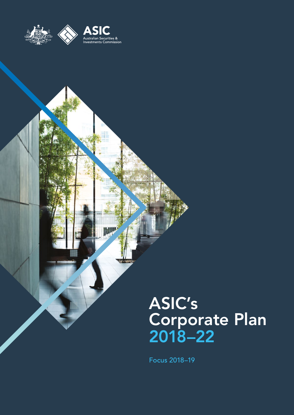

pe

# ASIC's Corporate Plan 2018–22

Focus 2018–19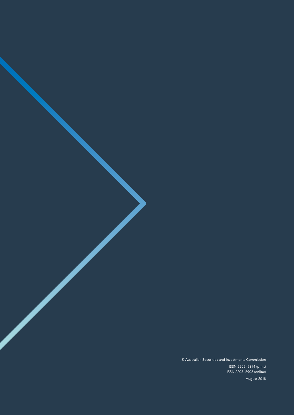© Australian Securities and Investments Commission

ISSN 2205–5894 (print) ISSN 2205–5908 (online)

August 2018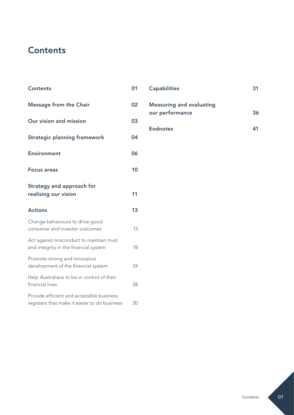# **Contents**

| <b>Contents</b>                                                                           | 01 |
|-------------------------------------------------------------------------------------------|----|
| <b>Message from the Chair</b>                                                             | 02 |
| Our vision and mission                                                                    | 03 |
| <b>Strategic planning framework</b>                                                       | 04 |
| <b>Environment</b>                                                                        | 06 |
| <b>Focus areas</b>                                                                        | 10 |
| Strategy and approach for<br>realising our vision                                         | 11 |
| <b>Actions</b>                                                                            | 13 |
| Change behaviours to drive good<br>consumer and investor outcomes                         | 13 |
| Act against misconduct to maintain trust<br>and integrity in the financial system         | 18 |
| Promote strong and innovative<br>development of the financial system                      | 24 |
| Help Australians to be in control of their<br>financial lives                             | 28 |
| Provide efficient and accessible business<br>registers that make it easier to do business | 30 |

| <b>Capabilities</b>                                | 31 |
|----------------------------------------------------|----|
| <b>Measuring and evaluating</b><br>our performance | 36 |
| <b>Endnotes</b>                                    |    |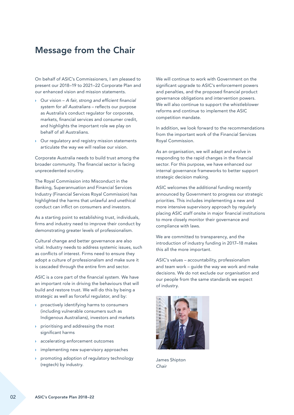# <span id="page-3-0"></span>Message from the Chair

On behalf of ASIC's Commissioners, I am pleased to present our 2018–19 to 2021–22 Corporate Plan and our enhanced vision and mission statements.

- › Our vision *A fair, strong and efficient financial system for all Australians* – reflects our purpose as Australia's conduct regulator for corporate, markets, financial services and consumer credit, and highlights the important role we play on behalf of all Australians.
- › Our regulatory and registry mission statements articulate the way we will realise our vision.

Corporate Australia needs to build trust among the broader community. The financial sector is facing unprecedented scrutiny.

The Royal Commission into Misconduct in the Banking, Superannuation and Financial Services Industry (Financial Services Royal Commission) has highlighted the harms that unlawful and unethical conduct can inflict on consumers and investors.

As a starting point to establishing trust, individuals, firms and industry need to improve their conduct by demonstrating greater levels of professionalism.

Cultural change and better governance are also vital. Industry needs to address systemic issues, such as conflicts of interest. Firms need to ensure they adopt a culture of professionalism and make sure it is cascaded through the entire firm and sector.

ASIC is a core part of the financial system. We have an important role in driving the behaviours that will build and restore trust. We will do this by being a strategic as well as forceful regulator, and by:

- › proactively identifying harms to consumers (including vulnerable consumers such as Indigenous Australians), investors and markets
- › prioritising and addressing the most significant harms
- › accelerating enforcement outcomes
- › implementing new supervisory approaches
- › promoting adoption of regulatory technology (regtech) by industry.

We will continue to work with Government on the significant upgrade to ASIC's enforcement powers and penalties, and the proposed financial product governance obligations and intervention powers. We will also continue to support the whistleblower reforms and continue to implement the ASIC competition mandate.

In addition, we look forward to the recommendations from the important work of the Financial Services Royal Commission.

As an organisation, we will adapt and evolve in responding to the rapid changes in the financial sector. For this purpose, we have enhanced our internal governance frameworks to better support strategic decision making.

ASIC welcomes the additional funding recently announced by Government to progress our strategic priorities. This includes implementing a new and more intensive supervisory approach by regularly placing ASIC staff onsite in major financial institutions to more closely monitor their governance and compliance with laws.

We are committed to transparency, and the introduction of industry funding in 2017–18 makes this all the more important.

ASIC's values – accountability, professionalism and team work – guide the way we work and make decisions. We do not exclude our organisation and our people from the same standards we expect of industry.



James Shipton *Chair*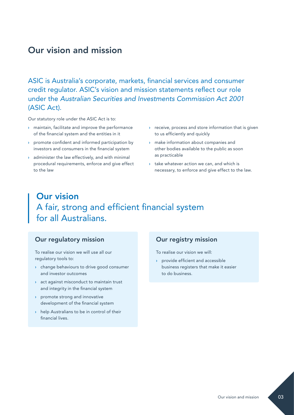# <span id="page-4-0"></span>Our vision and mission

ASIC is Australia's corporate, markets, financial services and consumer credit regulator. ASIC's vision and mission statements reflect our role under the *Australian Securities and Investments Commission Act 2001* (ASIC Act).

Our statutory role under the ASIC Act is to:

- › maintain, facilitate and improve the performance of the financial system and the entities in it
- promote confident and informed participation by investors and consumers in the financial system
- $\rightarrow$  administer the law effectively, and with minimal procedural requirements, enforce and give effect to the law
- › receive, process and store information that is given to us efficiently and quickly
- › make information about companies and other bodies available to the public as soon as practicable
- $\rightarrow$  take whatever action we can, and which is necessary, to enforce and give effect to the law.

# Our vision A fair, strong and efficient financial system for all Australians.

#### Our regulatory mission

To realise our vision we will use all our regulatory tools to:

- › change behaviours to drive good consumer and investor outcomes
- › act against misconduct to maintain trust and integrity in the financial system
- › promote strong and innovative development of the financial system
- › help Australians to be in control of their financial lives.

#### Our registry mission

To realise our vision we will:

› provide efficient and accessible business registers that make it easier to do business.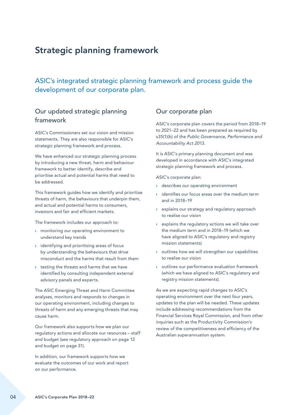# <span id="page-5-0"></span>Strategic planning framework

ASIC's integrated strategic planning framework and process guide the development of our corporate plan.

## Our updated strategic planning framework

ASIC's Commissioners set our vision and mission statements. They are also responsible for ASIC's strategic planning framework and process.

We have enhanced our strategic planning process by introducing a new threat, harm and behaviour framework to better identify, describe and prioritise actual and potential harms that need to be addressed.

This framework guides how we identify and prioritise threats of harm, the behaviours that underpin them, and actual and potential harms to consumers, investors and fair and efficient markets.

The framework includes our approach to:

- › monitoring our operating environment to understand key trends
- › identifying and prioritising areas of focus by understanding the behaviours that drive misconduct and the harms that result from them
- › testing the threats and harms that we have identified by consulting independent external advisory panels and experts.

The ASIC Emerging Threat and Harm Committee analyses, monitors and responds to changes in our operating environment, including changes to threats of harm and any emerging threats that may cause harm.

Our framework also supports how we plan our regulatory actions and allocate our resources – staff and budget (see regulatory approach on page 12 and budget on page 31).

In addition, our framework supports how we evaluate the outcomes of our work and report on our performance.

### Our corporate plan

ASIC's corporate plan covers the period from 2018–19 to 2021–22 and has been prepared as required by s35(1)(b) of the *Public Governance, Performance and Accountability Act 2013*.

It is ASIC's primary planning document and was developed in accordance with ASIC's integrated strategic planning framework and process.

ASIC's corporate plan:

- › describes our operating environment
- identifies our focus areas over the medium term and in 2018–19
- › explains our strategy and regulatory approach to realise our vision
- $\rightarrow$  explains the regulatory actions we will take over the medium term and in 2018–19 (which we have aligned to ASIC's regulatory and registry mission statements)
- › outlines how we will strengthen our capabilities to realise our vision
- › outlines our performance evaluation framework (which we have aligned to ASIC's regulatory and registry mission statements).

As we are expecting rapid changes to ASIC's operating environment over the next four years, updates to the plan will be needed. These updates include addressing recommendations from the Financial Services Royal Commission, and from other inquiries such as the Productivity Commission's review of the competitiveness and efficiency of the Australian superannuation system.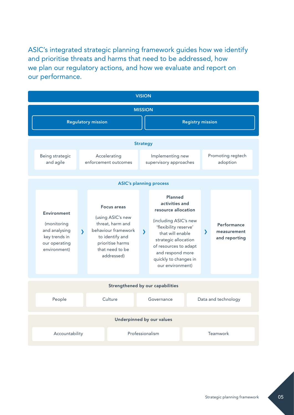ASIC's integrated strategic planning framework guides how we identify and prioritise threats and harms that need to be addressed, how we plan our regulatory actions, and how we evaluate and report on our performance.

| <b>VISION</b>                                                                                 |                                                                                                                                                                                                                                                                                                                                                                                                                                           |                                  |                 |                                            |                                             |  |                               |  |
|-----------------------------------------------------------------------------------------------|-------------------------------------------------------------------------------------------------------------------------------------------------------------------------------------------------------------------------------------------------------------------------------------------------------------------------------------------------------------------------------------------------------------------------------------------|----------------------------------|-----------------|--------------------------------------------|---------------------------------------------|--|-------------------------------|--|
| <b>MISSION</b>                                                                                |                                                                                                                                                                                                                                                                                                                                                                                                                                           |                                  |                 |                                            |                                             |  |                               |  |
|                                                                                               | <b>Regulatory mission</b>                                                                                                                                                                                                                                                                                                                                                                                                                 |                                  |                 |                                            | <b>Registry mission</b>                     |  |                               |  |
|                                                                                               |                                                                                                                                                                                                                                                                                                                                                                                                                                           |                                  |                 |                                            |                                             |  |                               |  |
|                                                                                               |                                                                                                                                                                                                                                                                                                                                                                                                                                           |                                  | <b>Strategy</b> |                                            |                                             |  |                               |  |
| Being strategic<br>and agile                                                                  | Accelerating<br>enforcement outcomes                                                                                                                                                                                                                                                                                                                                                                                                      |                                  |                 | Implementing new<br>supervisory approaches |                                             |  | Promoting regtech<br>adoption |  |
|                                                                                               |                                                                                                                                                                                                                                                                                                                                                                                                                                           | <b>ASIC's planning process</b>   |                 |                                            |                                             |  |                               |  |
|                                                                                               |                                                                                                                                                                                                                                                                                                                                                                                                                                           |                                  |                 |                                            |                                             |  |                               |  |
| Environment<br>(monitoring<br>and analysing<br>key trends in<br>our operating<br>environment) | Planned<br>activities and<br><b>Focus areas</b><br>resource allocation<br>(using ASIC's new<br>(including ASIC's new<br>threat, harm and<br>'flexibility reserve'<br>behaviour framework<br>$\lambda$<br>$\mathbf{\lambda}$<br>that will enable<br>to identify and<br>strategic allocation<br>prioritise harms<br>of resources to adapt<br>that need to be<br>and respond more<br>addressed)<br>quickly to changes in<br>our environment) |                                  |                 | $\mathbf{\lambda}$                         | Performance<br>measurement<br>and reporting |  |                               |  |
|                                                                                               |                                                                                                                                                                                                                                                                                                                                                                                                                                           |                                  |                 |                                            |                                             |  |                               |  |
|                                                                                               |                                                                                                                                                                                                                                                                                                                                                                                                                                           | Strengthened by our capabilities |                 |                                            |                                             |  |                               |  |
| People                                                                                        | Culture                                                                                                                                                                                                                                                                                                                                                                                                                                   |                                  |                 | Governance                                 |                                             |  | Data and technology           |  |
|                                                                                               |                                                                                                                                                                                                                                                                                                                                                                                                                                           | Underpinned by our values        |                 |                                            |                                             |  |                               |  |
|                                                                                               |                                                                                                                                                                                                                                                                                                                                                                                                                                           |                                  |                 |                                            |                                             |  |                               |  |
| Professionalism<br>Accountability<br>Teamwork                                                 |                                                                                                                                                                                                                                                                                                                                                                                                                                           |                                  |                 |                                            |                                             |  |                               |  |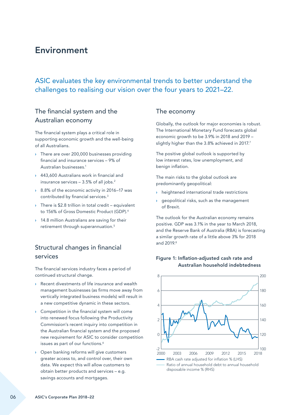# <span id="page-7-0"></span>Environment

# ASIC evaluates the key environmental trends to better understand the challenges to realising our vision over the four years to 2021–22.

## The financial system and the Australian economy

The financial system plays a critical role in supporting economic growth and the well-being of all Australians.

- › There are over 200,000 businesses providing financial and insurance services – 9% of Australian businesses.1
- › 443,600 Australians work in financial and insurance services  $-3.5\%$  of all jobs.<sup>2</sup>
- › 8.8% of the economic activity in 2016–17 was contributed by financial services.<sup>3</sup>
- $\rightarrow$  There is \$2.8 trillion in total credit equivalent to 156% of Gross Domestic Product (GDP).4
- <sup>3</sup> 14.8 million Australians are saving for their retirement through superannuation.<sup>5</sup>

# Structural changes in financial services

The financial services industry faces a period of continued structural change.

- › Recent divestments of life insurance and wealth management businesses (as firms move away from vertically integrated business models) will result in a new competitive dynamic in these sectors.
- › Competition in the financial system will come into renewed focus following the Productivity Commission's recent inquiry into competition in the Australian financial system and the proposed new requirement for ASIC to consider competition issues as part of our functions.<sup>6</sup>
- › Open banking reforms will give customers greater access to, and control over, their own data. We expect this will allow customers to obtain better products and services – e.g. savings accounts and mortgages.

## The economy

Globally, the outlook for major economies is robust. The International Monetary Fund forecasts global economic growth to be 3.9% in 2018 and 2019 – slightly higher than the 3.8% achieved in 2017.<sup>7</sup>

The positive global outlook is supported by low interest rates, low unemployment, and benign inflation.

The main risks to the global outlook are predominantly geopolitical:

- heightened international trade restrictions
- › geopolitical risks, such as the management of Brexit.

The outlook for the Australian economy remains positive. GDP was 3.1% in the year to March 2018, and the Reserve Bank of Australia (RBA) is forecasting a similar growth rate of a little above 3% for 2018 and 2019.8



#### Figure 1: Inflation-adjusted cash rate and Australian household indebtedness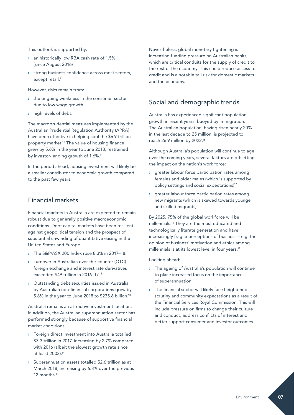This outlook is supported by:

- **an historically low RBA cash rate of 1.5%** (since August 2016)
- › strong business confidence across most sectors, except retail.9

However, risks remain from:

- › the ongoing weakness in the consumer sector due to low wage growth
- › high levels of debt.

The macroprudential measures implemented by the Australian Prudential Regulation Authority (APRA) have been effective in helping cool the \$6.9 trillion property market.10 The value of housing finance grew by 5.6% in the year to June 2018, restrained by investor-lending growth of 1.6%.<sup>11</sup>

In the period ahead, housing investment will likely be a smaller contributor to economic growth compared to the past few years.

## Financial markets

Financial markets in Australia are expected to remain robust due to generally positive macroeconomic conditions. Debt capital markets have been resilient against geopolitical tension and the prospect of substantial unwinding of quantitative easing in the United States and Europe.

- › The S&P/ASX 200 Index rose 8.3% in 2017–18.
- › Turnover in Australian over-the-counter (OTC) foreign exchange and interest rate derivatives exceeded \$49 trillion in 2016–17.12
- › Outstanding debt securities issued in Australia by Australian non-financial corporations grew by 5.8% in the year to June 2018 to \$235.6 billion.13

Australia remains an attractive investment location. In addition, the Australian superannuation sector has performed strongly because of supportive financial market conditions.

- › Foreign direct investment into Australia totalled \$3.3 trillion in 2017, increasing by 2.7% compared with 2016 (albeit the slowest growth rate since at least 2002).14
- Superannuation assets totalled \$2.6 trillion as at March 2018, increasing by 6.8% over the previous 12 months.15

Nevertheless, global monetary tightening is increasing funding pressure on Australian banks, which are critical conduits for the supply of credit to the rest of the economy. This could reduce access to credit and is a notable tail risk for domestic markets and the economy.

## Social and demographic trends

Australia has experienced significant population growth in recent years, buoyed by immigration. The Australian population, having risen nearly 20% in the last decade to 25 million, is projected to reach 26.9 million by 2022.16

Although Australia's population will continue to age over the coming years, several factors are offsetting the impact on the nation's work force:

- › greater labour force participation rates among females and older males (which is supported by policy settings and social expectations)<sup>17</sup>
- greater labour force participation rates among new migrants (which is skewed towards younger and skilled migrants).

By 2025, 75% of the global workforce will be millennials.18 They are the most educated and technologically literate generation and have increasingly fragile perceptions of business – e.g. the opinion of business' motivation and ethics among millennials is at its lowest level in four years.<sup>19</sup>

Looking ahead:

- › The ageing of Australia's population will continue to place increased focus on the importance of superannuation.
- › The financial sector will likely face heightened scrutiny and community expectations as a result of the Financial Services Royal Commission. This will include pressure on firms to change their culture and conduct, address conflicts of interest and better support consumer and investor outcomes.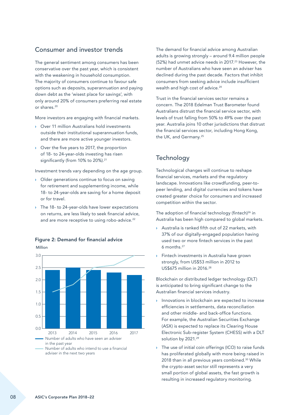## Consumer and investor trends

The general sentiment among consumers has been conservative over the past year, which is consistent with the weakening in household consumption. The majority of consumers continue to favour safe options such as deposits, superannuation and paying down debt as the 'wisest place for savings', with only around 20% of consumers preferring real estate or shares.20

More investors are engaging with financial markets.

- › Over 11 million Australians hold investments outside their institutional superannuation funds, and there are more active younger investors.
- › Over the five years to 2017, the proportion of 18- to 24-year-olds investing has risen significantly (from 10% to 20%).<sup>21</sup>

Investment trends vary depending on the age group.

- › Older generations continue to focus on saving for retirement and supplementing income, while 18- to 24-year-olds are saving for a home deposit or for travel.
- > The 18- to 24-year-olds have lower expectations on returns, are less likely to seek financial advice, and are more receptive to using robo-advice.<sup>22</sup>



Figure 2: Demand for financial advice

The demand for financial advice among Australian adults is growing strongly – around 9.4 million people (52%) had unmet advice needs in 2017.<sup>23</sup> However, the number of Australians who have seen an adviser has declined during the past decade. Factors that inhibit consumers from seeking advice include insufficient wealth and high cost of advice.<sup>24</sup>

Trust in the financial services sector remains a concern. The 2018 Edelman Trust Barometer found Australians distrust the financial service sector, with levels of trust falling from 50% to 49% over the past year. Australia joins 10 other jurisdictions that distrust the financial services sector, including Hong Kong, the UK, and Germany.<sup>25</sup>

## **Technology**

Technological changes will continue to reshape financial services, markets and the regulatory landscape. Innovations like crowdfunding, peer-topeer lending, and digital currencies and tokens have created greater choice for consumers and increased competition within the sector.

The adoption of financial technology (fintech)<sup>26</sup> in Australia has been high compared to global markets.

- › Australia is ranked fifth out of 22 markets, with 37% of our digitally-engaged population having used two or more fintech services in the past 6 months.27
- **>** Fintech investments in Australia have grown strongly, from US\$53 million in 2012 to US\$675 million in 2016.28

Blockchain or distributed ledger technology (DLT) is anticipated to bring significant change to the Australian financial services industry.

- › Innovations in blockchain are expected to increase efficiencies in settlements, data reconciliation and other middle- and back-office functions. For example, the Australian Securities Exchange (ASX) is expected to replace its Clearing House Electronic Sub-register System (CHESS) with a DLT solution by 2021.<sup>29</sup>
- The use of initial coin offerings (ICO) to raise funds has proliferated globally with more being raised in 2018 than in all previous years combined.<sup>30</sup> While the crypto-asset sector still represents a very small portion of global assets, the fast growth is resulting in increased regulatory monitoring.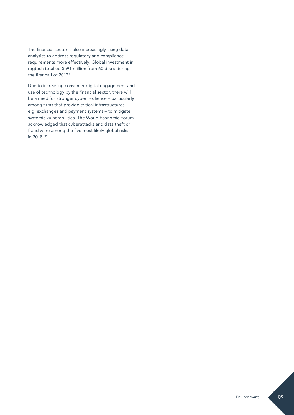The financial sector is also increasingly using data analytics to address regulatory and compliance requirements more effectively. Global investment in regtech totalled \$591 million from 60 deals during the first half of 2017.31

Due to increasing consumer digital engagement and use of technology by the financial sector, there will be a need for stronger cyber resilience – particularly among firms that provide critical infrastructures e.g. exchanges and payment systems – to mitigate systemic vulnerabilities. The World Economic Forum acknowledged that cyberattacks and data theft or fraud were among the five most likely global risks in 2018.32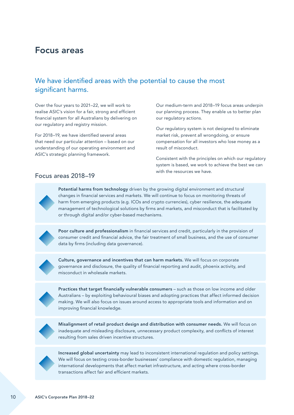# <span id="page-11-0"></span>Focus areas

# We have identified areas with the potential to cause the most significant harms.

Over the four years to 2021–22, we will work to realise ASIC's vision for a fair, strong and efficient financial system for all Australians by delivering on our regulatory and registry mission.

For 2018–19, we have identified several areas that need our particular attention – based on our understanding of our operating environment and ASIC's strategic planning framework.

Our medium-term and 2018–19 focus areas underpin our planning process. They enable us to better plan our regulatory actions.

Our regulatory system is not designed to eliminate market risk, prevent all wrongdoing, or ensure compensation for all investors who lose money as a result of misconduct.

Consistent with the principles on which our regulatory system is based, we work to achieve the best we can with the resources we have.

### Focus areas 2018–19

 Potential harms from technology driven by the growing digital environment and structural changes in financial services and markets. We will continue to focus on monitoring threats of harm from emerging products (e.g. ICOs and crypto currencies), cyber resilience, the adequate management of technological solutions by firms and markets, and misconduct that is facilitated by or through digital and/or cyber-based mechanisms.



Poor culture and professionalism in financial services and credit, particularly in the provision of consumer credit and financial advice, the fair treatment of small business, and the use of consumer data by firms (including data governance).



 Culture, governance and incentives that can harm markets. We will focus on corporate governance and disclosure, the quality of financial reporting and audit, phoenix activity, and misconduct in wholesale markets.



 Practices that target financially vulnerable consumers – such as those on low income and older Australians – by exploiting behavioural biases and adopting practices that affect informed decision making. We will also focus on issues around access to appropriate tools and information and on improving financial knowledge.



 Misalignment of retail product design and distribution with consumer needs. We will focus on inadequate and misleading disclosure, unnecessary product complexity, and conflicts of interest resulting from sales driven incentive structures.



 Increased global uncertainty may lead to inconsistent international regulation and policy settings. We will focus on testing cross-border businesses' compliance with domestic regulation, managing international developments that affect market infrastructure, and acting where cross-border transactions affect fair and efficient markets.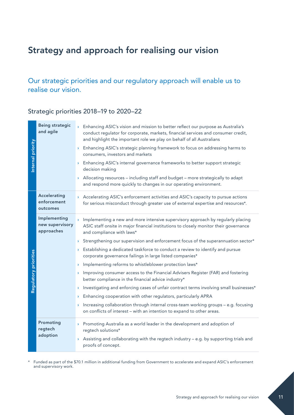# <span id="page-12-0"></span>Strategy and approach for realising our vision

Our strategic priorities and our regulatory approach will enable us to realise our vision.

## Strategic priorities 2018–19 to 2020–22

| Internal priority     | <b>Being strategic</b><br>and agile           | > Enhancing ASIC's vision and mission to better reflect our purpose as Australia's<br>conduct regulator for corporate, markets, financial services and consumer credit,<br>and highlight the important role we play on behalf of all Australians<br>> Enhancing ASIC's strategic planning framework to focus on addressing harms to<br>consumers, investors and markets<br>> Enhancing ASIC's internal governance frameworks to better support strategic<br>decision making<br>Allocating resources - including staff and budget - more strategically to adapt<br>$\mathbf{\Sigma}$<br>and respond more quickly to changes in our operating environment. |
|-----------------------|-----------------------------------------------|----------------------------------------------------------------------------------------------------------------------------------------------------------------------------------------------------------------------------------------------------------------------------------------------------------------------------------------------------------------------------------------------------------------------------------------------------------------------------------------------------------------------------------------------------------------------------------------------------------------------------------------------------------|
|                       | Accelerating<br>enforcement<br>outcomes       | > Accelerating ASIC's enforcement activities and ASIC's capacity to pursue actions<br>for serious misconduct through greater use of external expertise and resources*.                                                                                                                                                                                                                                                                                                                                                                                                                                                                                   |
|                       | Implementing<br>new supervisory<br>approaches | Implementing a new and more intensive supervisory approach by regularly placing<br>$\mathbf{v}$<br>ASIC staff onsite in major financial institutions to closely monitor their governance<br>and compliance with laws*<br>Strengthening our supervision and enforcement focus of the superannuation sector*<br>$\mathcal{F}$                                                                                                                                                                                                                                                                                                                              |
|                       |                                               | Establishing a dedicated taskforce to conduct a review to identify and pursue<br>corporate governance failings in large listed companies*                                                                                                                                                                                                                                                                                                                                                                                                                                                                                                                |
|                       |                                               | Implementing reforms to whistleblower protection laws*<br>$\blacktriangleright$                                                                                                                                                                                                                                                                                                                                                                                                                                                                                                                                                                          |
| Regulatory priorities |                                               | Improving consumer access to the Financial Advisers Register (FAR) and fostering<br>$\mathcal{F}$<br>better compliance in the financial advice industry*                                                                                                                                                                                                                                                                                                                                                                                                                                                                                                 |
|                       |                                               | Investigating and enforcing cases of unfair contract terms involving small businesses*<br>$\mathcal{F}$                                                                                                                                                                                                                                                                                                                                                                                                                                                                                                                                                  |
|                       |                                               | Enhancing cooperation with other regulators, particularly APRA<br>$\mathbf{\Sigma}$                                                                                                                                                                                                                                                                                                                                                                                                                                                                                                                                                                      |
|                       |                                               | Increasing collaboration through internal cross-team working groups - e.g. focusing<br>on conflicts of interest - with an intention to expand to other areas.                                                                                                                                                                                                                                                                                                                                                                                                                                                                                            |
|                       | Promoting<br>regtech                          | > Promoting Australia as a world leader in the development and adoption of<br>regtech solutions*                                                                                                                                                                                                                                                                                                                                                                                                                                                                                                                                                         |
|                       | adoption                                      | Assisting and collaborating with the regtech industry - e.g. by supporting trials and<br>$\mathbf{\Sigma}$<br>proofs of concept.                                                                                                                                                                                                                                                                                                                                                                                                                                                                                                                         |

\* Funded as part of the \$70.1 million in additional funding from Government to accelerate and expand ASIC's enforcement and supervisory work.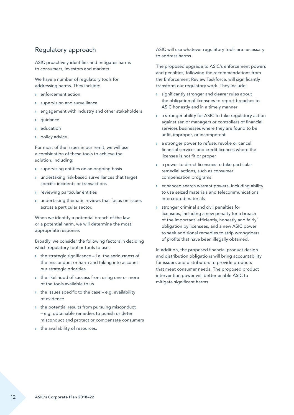## Regulatory approach

ASIC proactively identifies and mitigates harms to consumers, investors and markets.

We have a number of regulatory tools for addressing harms. They include:

- › enforcement action
- supervision and surveillance
- engagement with industry and other stakeholders
- *guidance*
- education
- policy advice.

For most of the issues in our remit, we will use a combination of these tools to achieve the solution, including:

- › supervising entities on an ongoing basis
- › undertaking risk-based surveillances that target specific incidents or transactions
- › reviewing particular entities
- › undertaking thematic reviews that focus on issues across a particular sector.

When we identify a potential breach of the law or a potential harm, we will determine the most appropriate response.

Broadly, we consider the following factors in deciding which regulatory tool or tools to use:

- $\rightarrow$  the strategic significance i.e. the seriousness of the misconduct or harm and taking into account our strategic priorities
- › the likelihood of success from using one or more of the tools available to us
- $\rightarrow$  the issues specific to the case e.g. availability of evidence
- $\rightarrow$  the potential results from pursuing misconduct – e.g. obtainable remedies to punish or deter misconduct and protect or compensate consumers
- › the availability of resources.

ASIC will use whatever regulatory tools are necessary to address harms.

The proposed upgrade to ASIC's enforcement powers and penalties, following the recommendations from the Enforcement Review Taskforce, will significantly transform our regulatory work. They include:

- significantly stronger and clearer rules about the obligation of licensees to report breaches to ASIC honestly and in a timely manner
- › a stronger ability for ASIC to take regulatory action against senior managers or controllers of financial services businesses where they are found to be unfit, improper, or incompetent
- a stronger power to refuse, revoke or cancel financial services and credit licences where the licensee is not fit or proper
- › a power to direct licensees to take particular remedial actions, such as consumer compensation programs
- › enhanced search warrant powers, including ability to use seized materials and telecommunications intercepted materials
- › stronger criminal and civil penalties for licensees, including a new penalty for a breach of the important 'efficiently, honestly and fairly' obligation by licensees, and a new ASIC power to seek additional remedies to strip wrongdoers of profits that have been illegally obtained.

In addition, the proposed financial product design and distribution obligations will bring accountability for issuers and distributors to provide products that meet consumer needs. The proposed product intervention power will better enable ASIC to mitigate significant harms.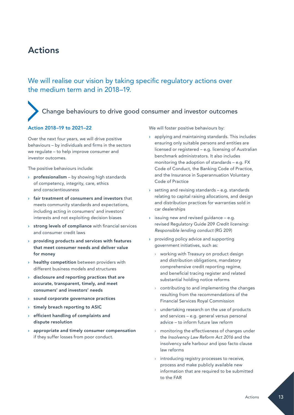# <span id="page-14-0"></span>Actions

We will realise our vision by taking specific regulatory actions over the medium term and in 2018–19.

# Change behaviours to drive good consumer and investor outcomes

#### Action 2018–19 to 2021–22

Over the next four years, we will drive positive behaviours – by individuals and firms in the sectors we regulate – to help improve consumer and investor outcomes.

The positive behaviours include:

- › professionalism by showing high standards of competency, integrity, care, ethics and conscientiousness
- › fair treatment of consumers and investors that meets community standards and expectations, including acting in consumers' and investors' interests and not exploiting decision biases
- › strong levels of compliance with financial services and consumer credit laws
- › providing products and services with features that meet consumer needs and deliver value for money
- **healthy competition** between providers with different business models and structures
- $\rightarrow$  disclosure and reporting practices that are accurate, transparent, timely, and meet consumers' and investors' needs
- › sound corporate governance practices
- › timely breach reporting to ASIC
- › efficient handling of complaints and dispute resolution
- appropriate and timely consumer compensation if they suffer losses from poor conduct.

We will foster positive behaviours by:

- › applying and maintaining standards. This includes ensuring only suitable persons and entities are licensed or registered – e.g. licensing of Australian benchmark administrators. It also includes monitoring the adoption of standards – e.g. FX Code of Conduct, the Banking Code of Practice, and the Insurance in Superannuation Voluntary Code of Practice
- $\rightarrow$  setting and revising standards e.g. standards relating to capital raising allocations, and design and distribution practices for warranties sold in car dealerships
- $\rightarrow$  issuing new and revised guidance e.g. revised Regulatory Guide 209 *Credit licensing: Responsible lending conduct* (RG 209)
- › providing policy advice and supporting government initiatives, such as:
	- › working with Treasury on product design and distribution obligations, mandatory comprehensive credit reporting regime, and beneficial tracing register and related substantial holding notice reforms
	- contributing to and implementing the changes resulting from the recommendations of the Financial Services Royal Commission
	- › undertaking research on the use of products and services – e.g. general versus personal advice – to inform future law reform
	- monitoring the effectiveness of changes under the *Insolvency Law Reform Act 2016* and the insolvency safe harbour and ipso facto clause law reforms
	- introducing registry processes to receive, process and make publicly available new information that are required to be submitted to the FAR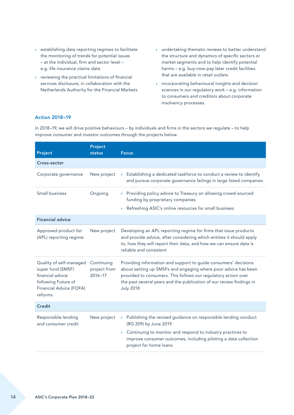- › establishing data reporting regimes to facilitate the monitoring of trends for potential issues – at the individual, firm and sector level – e.g. life insurance claims data
- › reviewing the practical limitations of financial services disclosure, in collaboration with the Netherlands Authority for the Financial Markets
- › undertaking thematic reviews to better understand the structure and dynamics of specific sectors or market segments and to help identify potential harms – e.g. buy-now-pay-later credit facilities that are available in retail outlets
- › incorporating behavioural insights and decision sciences in our regulatory work – e.g. information to consumers and creditors about corporate insolvency processes.

#### Action 2018–19

In 2018–19, we will drive positive behaviours – by individuals and firms in the sectors we regulate – to help improve consumer and investor outcomes through the projects below.

| Project<br>status                         | <b>Focus</b>                                                                                                                                                                                                                                                                                    |
|-------------------------------------------|-------------------------------------------------------------------------------------------------------------------------------------------------------------------------------------------------------------------------------------------------------------------------------------------------|
|                                           |                                                                                                                                                                                                                                                                                                 |
| New project                               | Establishing a dedicated taskforce to conduct a review to identify<br>and pursue corporate governance failings in large listed companies                                                                                                                                                        |
| Ongoing                                   | > Providing policy advice to Treasury on allowing crowd-sourced<br>funding by proprietary companies<br>Refreshing ASIC's online resources for small business                                                                                                                                    |
|                                           |                                                                                                                                                                                                                                                                                                 |
| New project                               | Developing an APL reporting regime for firms that issue products<br>and provide advice, after considering which entities it should apply<br>to, how they will report their data, and how we can ensure data is<br>reliable and consistent                                                       |
| Continuing<br>project from<br>$2016 - 17$ | Providing information and support to guide consumers' decisions<br>about setting up SMSFs and engaging where poor advice has been<br>provided to consumers. This follows our regulatory action over<br>the past several years and the publication of our review findings in<br><b>July 2018</b> |
|                                           |                                                                                                                                                                                                                                                                                                 |
| New project                               | Publishing the revised guidance on responsible lending conduct<br>$\mathbf{\Sigma}$<br>(RG 209) by June 2019<br>> Continuing to monitor and respond to industry practices to<br>improve consumer outcomes, including piloting a data collection<br>project for home loans                       |
|                                           |                                                                                                                                                                                                                                                                                                 |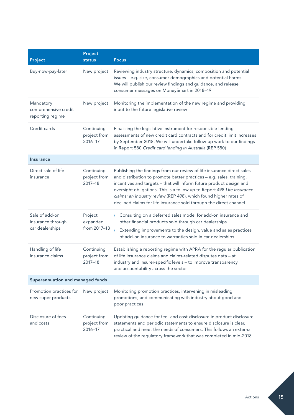| Project                                                | Project<br>status                         | <b>Focus</b>                                                                                                                                                                                                                                                                                                                                                                                                                                |
|--------------------------------------------------------|-------------------------------------------|---------------------------------------------------------------------------------------------------------------------------------------------------------------------------------------------------------------------------------------------------------------------------------------------------------------------------------------------------------------------------------------------------------------------------------------------|
| Buy-now-pay-later                                      | New project                               | Reviewing industry structure, dynamics, composition and potential<br>issues - e.g. size, consumer demographics and potential harms.<br>We will publish our review findings and guidance, and release<br>consumer messages on MoneySmart in 2018-19                                                                                                                                                                                          |
| Mandatory<br>comprehensive credit<br>reporting regime  | New project                               | Monitoring the implementation of the new regime and providing<br>input to the future legislative review                                                                                                                                                                                                                                                                                                                                     |
| Credit cards                                           | Continuing<br>project from<br>$2016 - 17$ | Finalising the legislative instrument for responsible lending<br>assessments of new credit card contracts and for credit limit increases<br>by September 2018. We will undertake follow-up work to our findings<br>in Report 580 Credit card lending in Australia (REP 580)                                                                                                                                                                 |
| <b>Insurance</b>                                       |                                           |                                                                                                                                                                                                                                                                                                                                                                                                                                             |
| Direct sale of life<br>insurance                       | Continuing<br>project from<br>2017-18     | Publishing the findings from our review of life insurance direct sales<br>and distribution to promote better practices - e.g. sales, training,<br>incentives and targets - that will inform future product design and<br>oversight obligations. This is a follow up to Report 498 Life insurance<br>claims: an industry review (REP 498), which found higher rates of<br>declined claims for life insurance sold through the direct channel |
| Sale of add-on<br>insurance through<br>car dealerships | Project<br>expanded<br>from 2017-18       | Consulting on a deferred sales model for add-on insurance and<br>$\mathbf{y}$<br>other financial products sold through car dealerships<br>$\mathbf{v}$<br>Extending improvements to the design, value and sales practices<br>of add-on insurance to warranties sold in car dealerships                                                                                                                                                      |
| Handling of life<br>insurance claims                   | Continuing<br>project from<br>2017-18     | Establishing a reporting regime with APRA for the regular publication<br>of life insurance claims and claims-related disputes data - at<br>industry and insurer-specific levels - to improve transparency<br>and accountability across the sector                                                                                                                                                                                           |
| Superannuation and managed funds                       |                                           |                                                                                                                                                                                                                                                                                                                                                                                                                                             |
| Promotion practices for<br>new super products          | New project                               | Monitoring promotion practices, intervening in misleading<br>promotions, and communicating with industry about good and<br>poor practices                                                                                                                                                                                                                                                                                                   |
| Disclosure of fees<br>and costs                        | Continuing<br>project from<br>2016-17     | Updating guidance for fee- and cost-disclosure in product disclosure<br>statements and periodic statements to ensure disclosure is clear,<br>practical and meet the needs of consumers. This follows an external<br>review of the regulatory framework that was completed in mid-2018                                                                                                                                                       |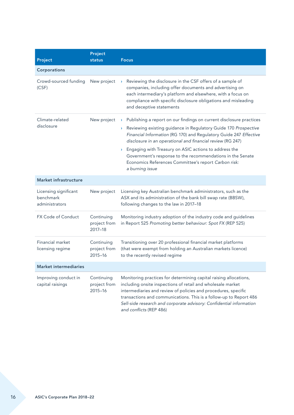| Project                                              | Project<br>status                         | <b>Focus</b>                                                                                                                                                                                                                                                                                                                                                                                                                                                                                        |
|------------------------------------------------------|-------------------------------------------|-----------------------------------------------------------------------------------------------------------------------------------------------------------------------------------------------------------------------------------------------------------------------------------------------------------------------------------------------------------------------------------------------------------------------------------------------------------------------------------------------------|
| Corporations                                         |                                           |                                                                                                                                                                                                                                                                                                                                                                                                                                                                                                     |
| Crowd-sourced funding<br>(CSF)                       | New project                               | Reviewing the disclosure in the CSF offers of a sample of<br>$\mathbf{\Sigma}$<br>companies, including offer documents and advertising on<br>each intermediary's platform and elsewhere, with a focus on<br>compliance with specific disclosure obligations and misleading<br>and deceptive statements                                                                                                                                                                                              |
| Climate-related<br>disclosure                        | New project                               | > Publishing a report on our findings on current disclosure practices<br>Reviewing existing guidance in Regulatory Guide 170 Prospective<br>$\sum_{i=1}^{n}$<br>Financial Information (RG 170) and Regulatory Guide 247 Effective<br>disclosure in an operational and financial review (RG 247)<br>> Engaging with Treasury on ASIC actions to address the<br>Government's response to the recommendations in the Senate<br>Economics References Committee's report Carbon risk:<br>a burning issue |
| <b>Market infrastructure</b>                         |                                           |                                                                                                                                                                                                                                                                                                                                                                                                                                                                                                     |
| Licensing significant<br>benchmark<br>administrators | New project                               | Licensing key Australian benchmark administrators, such as the<br>ASX and its administration of the bank bill swap rate (BBSW),<br>following changes to the law in 2017-18                                                                                                                                                                                                                                                                                                                          |
| FX Code of Conduct                                   | Continuing<br>project from<br>2017-18     | Monitoring industry adoption of the industry code and guidelines<br>in Report 525 Promoting better behaviour: Spot FX (REP 525)                                                                                                                                                                                                                                                                                                                                                                     |
| Financial market<br>licensing regime                 | Continuing<br>project from<br>$2015 - 16$ | Transitioning over 20 professional financial market platforms<br>(that were exempt from holding an Australian markets licence)<br>to the recently revised regime                                                                                                                                                                                                                                                                                                                                    |
| Market intermediaries                                |                                           |                                                                                                                                                                                                                                                                                                                                                                                                                                                                                                     |
| Improving conduct in<br>capital raisings             | Continuing<br>project from<br>$2015 - 16$ | Monitoring practices for determining capital raising allocations,<br>including onsite inspections of retail and wholesale market<br>intermediaries and review of policies and procedures, specific<br>transactions and communications. This is a follow-up to Report 486<br>Sell-side research and corporate advisory: Confidential information<br>and conflicts (REP 486)                                                                                                                          |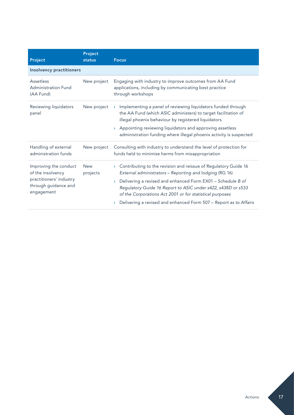| Project                                                                                                     | Project<br>status      | <b>Focus</b>                                                                                                                                                                                                                                                                                                                                                                                                                                        |
|-------------------------------------------------------------------------------------------------------------|------------------------|-----------------------------------------------------------------------------------------------------------------------------------------------------------------------------------------------------------------------------------------------------------------------------------------------------------------------------------------------------------------------------------------------------------------------------------------------------|
| <b>Insolvency practitioners</b>                                                                             |                        |                                                                                                                                                                                                                                                                                                                                                                                                                                                     |
| Assetless<br><b>Administration Fund</b><br>(AA Fund)                                                        | New project            | Engaging with industry to improve outcomes from AA Fund<br>applications, including by communicating best practice<br>through workshops                                                                                                                                                                                                                                                                                                              |
| Reviewing liquidators<br>panel                                                                              | New project            | Implementing a panel of reviewing liquidators funded through<br>$\sum_{i=1}^{n}$<br>the AA Fund (which ASIC administers) to target facilitation of<br>illegal phoenix behaviour by registered liquidators<br>Appointing reviewing liquidators and approving assetless<br>administration funding where illegal phoenix activity is suspected                                                                                                         |
| Handling of external<br>administration funds                                                                | New project            | Consulting with industry to understand the level of protection for<br>funds held to minimise harms from misappropriation                                                                                                                                                                                                                                                                                                                            |
| Improving the conduct<br>of the insolvency<br>practitioners' industry<br>through guidance and<br>engagement | <b>New</b><br>projects | Contributing to the revision and reissue of Regulatory Guide 16<br>$\mathbf{\Sigma}$<br>External administrators - Reporting and lodging (RG 16)<br>Delivering a revised and enhanced Form EX01 - Schedule B of<br>$\mathbf{y}$<br>Regulatory Guide 16 Report to ASIC under s422, s438D or s533<br>of the Corporations Act 2001 or for statistical purposes<br>Delivering a revised and enhanced Form 507 - Report as to Affairs<br>$\sum_{i=1}^{n}$ |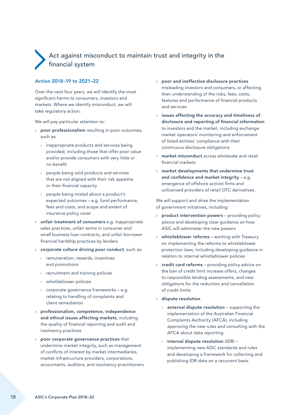# <span id="page-19-0"></span> Act against misconduct to maintain trust and integrity in the financial system

#### Action 2018–19 to 2021–22

Over the next four years, we will identify the most significant harms to consumers, investors and markets. Where we identify misconduct, we will take regulatory action.

We will pay particular attention to:

- › poor professionalism resulting in poor outcomes, such as:
	- › inappropriate products and services being provided, including those that offer poor value and/or provide consumers with very little or no benefit
	- › people being sold products and services that are not aligned with their risk appetite or their financial capacity
	- › people being misled about a product's expected outcomes – e.g. fund performance, fees and costs, and scope and extent of insurance policy cover
- › unfair treatment of consumers e.g. inappropriate sales practices, unfair terms in consumer and small business loan contracts, and unfair borrower financial hardship practices by lenders
- › corporate culture driving poor conduct, such as:
	- › remuneration, rewards, incentives and promotions
	- › recruitment and training policies
	- › whistleblower policies
	- › corporate governance frameworks e.g. relating to handling of complaints and client remediation
- › professionalism, competence, independence and ethical issues affecting markets, including the quality of financial reporting and audit and insolvency practices
- › poor corporate governance practices that undermine market integrity, such as management of conflicts of interest by market intermediaries, market infrastructure providers, corporations, accountants, auditors, and insolvency practitioners
- › poor and ineffective disclosure practices misleading investors and consumers, or affecting their understanding of the risks, fees, costs, features and performance of financial products and services
- $\rightarrow$  issues affecting the accuracy and timeliness of disclosure and reporting of financial information to investors and the market, including exchange market operators' monitoring and enforcement of listed entities' compliance with their continuous disclosure obligations
- market misconduct across wholesale and retail financial markets
- › market developments that undermine trust and confidence and market integrity – e.g. emergence of offshore activist firms and unlicensed providers of retail OTC derivatives.

We will support and drive the implementation of government initiatives, including:

- product intervention powers providing policy advice and developing clear guidance on how ASIC will administer the new powers
- › whistleblower reforms working with Treasury on implementing the reforms to whistleblower protection laws, including developing guidance in relation to internal whistleblower policies
- $\rightarrow$  credit card reforms providing policy advice on the ban of credit limit increase offers, changes to responsible lending assessments, and new obligations for the reduction and cancellation of credit limits
- › dispute resolution
	- $\rightarrow$  external dispute resolution supporting the implementation of the Australian Financial Complaints Authority (AFCA), including approving the new rules and consulting with the AFCA about data reporting
	- internal dispute resolution (IDR) implementing new ASIC standards and rules and developing a framework for collecting and publishing IDR data on a recurrent basis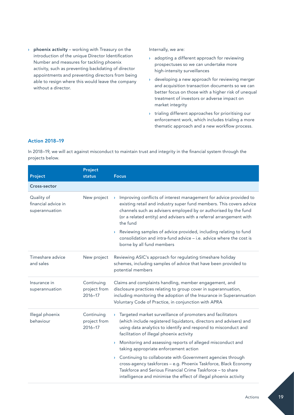$\rightarrow$  phoenix activity – working with Treasury on the introduction of the unique Director Identification Number and measures for tackling phoenix activity, such as preventing backdating of director appointments and preventing directors from being able to resign where this would leave the company without a director.

Internally, we are:

- › adopting a different approach for reviewing prospectuses so we can undertake more high-intensity surveillances
- › developing a new approach for reviewing merger and acquisition transaction documents so we can better focus on those with a higher risk of unequal treatment of investors or adverse impact on market integrity
- › trialing different approaches for prioritising our enforcement work, which includes trialing a more thematic approach and a new workflow process.

#### Action 2018–19

In 2018–19, we will act against misconduct to maintain trust and integrity in the financial system through the projects below.

| Project                                             | Project<br>status                     | <b>Focus</b>                                                                                                                                                                                                                                                                                                    |
|-----------------------------------------------------|---------------------------------------|-----------------------------------------------------------------------------------------------------------------------------------------------------------------------------------------------------------------------------------------------------------------------------------------------------------------|
| Cross-sector                                        |                                       |                                                                                                                                                                                                                                                                                                                 |
| Quality of<br>financial advice in<br>superannuation | New project                           | Improving conflicts of interest management for advice provided to<br>$\mathcal{Y}$<br>existing retail and industry super fund members. This covers advice<br>channels such as advisers employed by or authorised by the fund<br>(or a related entity) and advisers with a referral arrangement with<br>the fund |
|                                                     |                                       | Reviewing samples of advice provided, including relating to fund<br>$\mathcal{V}$<br>consolidation and intra-fund advice - i.e. advice where the cost is<br>borne by all fund members                                                                                                                           |
| Timeshare advice<br>and sales                       | New project                           | Reviewing ASIC's approach for regulating timeshare holiday<br>schemes, including samples of advice that have been provided to<br>potential members                                                                                                                                                              |
| Insurance in<br>superannuation                      | Continuing<br>project from<br>2016-17 | Claims and complaints handling, member engagement, and<br>disclosure practices relating to group cover in superannuation,<br>including monitoring the adoption of the Insurance in Superannuation<br>Voluntary Code of Practice, in conjunction with APRA                                                       |
| Illegal phoenix<br>behaviour                        | Continuing<br>project from<br>2016-17 | Targeted market surveillance of promoters and facilitators<br>$\mathcal{V}$<br>(which include registered liquidators, directors and advisers) and<br>using data analytics to identify and respond to misconduct and<br>facilitation of illegal phoenix activity                                                 |
|                                                     |                                       | Monitoring and assessing reports of alleged misconduct and<br>$\mathbf{\Sigma}$<br>taking appropriate enforcement action                                                                                                                                                                                        |
|                                                     |                                       | Continuing to collaborate with Government agencies through<br>$\mathcal{F}$<br>cross-agency taskforces - e.g. Phoenix Taskforce, Black Economy<br>Taskforce and Serious Financial Crime Taskforce - to share<br>intelligence and minimise the effect of illegal phoenix activity                                |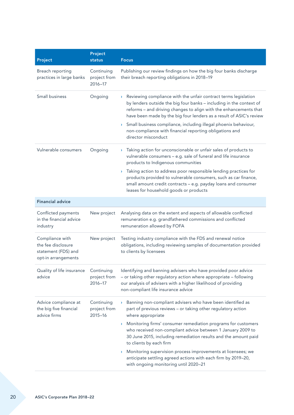| Project                                                                             | Project<br>status                         | <b>Focus</b>                                                                                                                                                                                                                                                                                                                                                                                                                                                                  |
|-------------------------------------------------------------------------------------|-------------------------------------------|-------------------------------------------------------------------------------------------------------------------------------------------------------------------------------------------------------------------------------------------------------------------------------------------------------------------------------------------------------------------------------------------------------------------------------------------------------------------------------|
| Breach reporting<br>practices in large banks                                        | Continuing<br>project from<br>2016-17     | Publishing our review findings on how the big four banks discharge<br>their breach reporting obligations in 2018-19                                                                                                                                                                                                                                                                                                                                                           |
| Small business                                                                      | Ongoing                                   | Reviewing compliance with the unfair contract terms legislation<br>$\mathbf{\Sigma}$<br>by lenders outside the big four banks - including in the context of<br>reforms - and driving changes to align with the enhancements that<br>have been made by the big four lenders as a result of ASIC's review<br>Small business compliance, including illegal phoenix behaviour,<br>$\mathcal{V}$<br>non-compliance with financial reporting obligations and<br>director misconduct |
| Vulnerable consumers                                                                | Ongoing                                   | Taking action for unconscionable or unfair sales of products to<br>$\sum_{i=1}^{n}$<br>vulnerable consumers - e.g. sale of funeral and life insurance<br>products to Indigenous communities                                                                                                                                                                                                                                                                                   |
|                                                                                     |                                           | Taking action to address poor responsible lending practices for<br>$\blacktriangleright$<br>products provided to vulnerable consumers, such as car finance,<br>small amount credit contracts - e.g. payday loans and consumer<br>leases for household goods or products                                                                                                                                                                                                       |
| <b>Financial advice</b>                                                             |                                           |                                                                                                                                                                                                                                                                                                                                                                                                                                                                               |
| Conflicted payments<br>in the financial advice<br>industry                          | New project                               | Analysing data on the extent and aspects of allowable conflicted<br>remuneration e.g. grandfathered commissions and conflicted<br>remuneration allowed by FOFA                                                                                                                                                                                                                                                                                                                |
| Compliance with<br>the fee disclosure<br>statement (FDS) and<br>opt-in arrangements | New project                               | Testing industry compliance with the FDS and renewal notice<br>obligations, including reviewing samples of documentation provided<br>to clients by licensees                                                                                                                                                                                                                                                                                                                  |
| Quality of life insurance<br>advice                                                 | Continuing<br>project from<br>2016-17     | Identifying and banning advisers who have provided poor advice<br>- or taking other regulatory action where appropriate - following<br>our analysis of advisers with a higher likelihood of providing<br>non-compliant life insurance advice                                                                                                                                                                                                                                  |
| Advice compliance at<br>the big five financial<br>advice firms                      | Continuing<br>project from<br>$2015 - 16$ | Banning non-compliant advisers who have been identified as<br>$\sum_{i=1}^{n}$<br>part of previous reviews - or taking other regulatory action<br>where appropriate                                                                                                                                                                                                                                                                                                           |
|                                                                                     |                                           | > Monitoring firms' consumer remediation programs for customers<br>who received non-compliant advice between 1 January 2009 to<br>30 June 2015, including remediation results and the amount paid<br>to clients by each firm                                                                                                                                                                                                                                                  |
|                                                                                     |                                           | Monitoring supervision process improvements at licensees; we<br>Y.<br>anticipate settling agreed actions with each firm by 2019-20,<br>with ongoing monitoring until 2020-21                                                                                                                                                                                                                                                                                                  |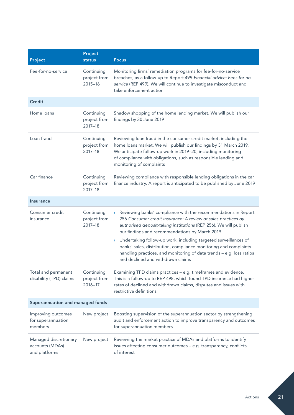| Project                                                   | Project<br>status                         | <b>Focus</b>                                                                                                                                                                                                                                                                                                                                                                                      |
|-----------------------------------------------------------|-------------------------------------------|---------------------------------------------------------------------------------------------------------------------------------------------------------------------------------------------------------------------------------------------------------------------------------------------------------------------------------------------------------------------------------------------------|
| Fee-for-no-service                                        | Continuing<br>project from<br>$2015 - 16$ | Monitoring firms' remediation programs for fee-for-no-service<br>breaches, as a follow-up to Report 499 Financial advice: Fees for no<br>service (REP 499). We will continue to investigate misconduct and<br>take enforcement action                                                                                                                                                             |
| <b>Credit</b>                                             |                                           |                                                                                                                                                                                                                                                                                                                                                                                                   |
| Home loans                                                | Continuing<br>project from<br>2017-18     | Shadow shopping of the home lending market. We will publish our<br>findings by 30 June 2019                                                                                                                                                                                                                                                                                                       |
| Loan fraud                                                | Continuing<br>project from<br>2017-18     | Reviewing loan fraud in the consumer credit market, including the<br>home loans market. We will publish our findings by 31 March 2019.<br>We anticipate follow-up work in 2019-20, including monitoring<br>of compliance with obligations, such as responsible lending and<br>monitoring of complaints                                                                                            |
| Car finance                                               | Continuing<br>project from<br>2017-18     | Reviewing compliance with responsible lending obligations in the car<br>finance industry. A report is anticipated to be published by June 2019                                                                                                                                                                                                                                                    |
| <b>Insurance</b>                                          |                                           |                                                                                                                                                                                                                                                                                                                                                                                                   |
| Consumer credit<br>insurance                              | Continuing<br>project from<br>2017-18     | > Reviewing banks' compliance with the recommendations in Report<br>256 Consumer credit insurance: A review of sales practices by<br>authorised deposit-taking institutions (REP 256). We will publish<br>our findings and recommendations by March 2019<br>> Undertaking follow-up work, including targeted surveillances of<br>banks' sales, distribution, compliance monitoring and complaints |
|                                                           |                                           | handling practices, and monitoring of data trends - e.g. loss ratios<br>and declined and withdrawn claims                                                                                                                                                                                                                                                                                         |
| Total and permanent<br>disability (TPD) claims            | Continuing<br>project from<br>2016-17     | Examining TPD claims practices - e.g. timeframes and evidence.<br>This is a follow-up to REP 498, which found TPD insurance had higher<br>rates of declined and withdrawn claims, disputes and issues with<br>restrictive definitions                                                                                                                                                             |
| Superannuation and managed funds                          |                                           |                                                                                                                                                                                                                                                                                                                                                                                                   |
| Improving outcomes<br>for superannuation<br>members       | New project                               | Boosting supervision of the superannuation sector by strengthening<br>audit and enforcement action to improve transparency and outcomes<br>for superannuation members                                                                                                                                                                                                                             |
| Managed discretionary<br>accounts (MDAs)<br>and platforms | New project                               | Reviewing the market practice of MDAs and platforms to identify<br>issues affecting consumer outcomes - e.g. transparency, conflicts<br>of interest                                                                                                                                                                                                                                               |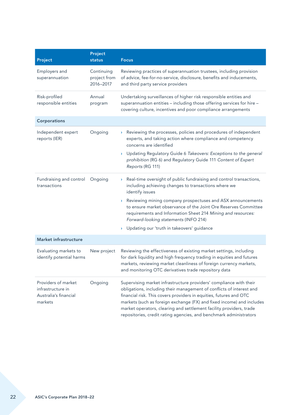| Project                                                                      | Project<br>status                       | <b>Focus</b>                                                                                                                                                                                                                                                                                                                                                                                                                           |
|------------------------------------------------------------------------------|-----------------------------------------|----------------------------------------------------------------------------------------------------------------------------------------------------------------------------------------------------------------------------------------------------------------------------------------------------------------------------------------------------------------------------------------------------------------------------------------|
| Employers and<br>superannuation                                              | Continuing<br>project from<br>2016-2017 | Reviewing practices of superannuation trustees, including provision<br>of advice, fee-for-no-service, disclosure, benefits and inducements,<br>and third party service providers                                                                                                                                                                                                                                                       |
| Risk-profiled<br>responsible entities                                        | Annual<br>program                       | Undertaking surveillances of higher risk responsible entities and<br>superannuation entities - including those offering services for hire -<br>covering culture, incentives and poor compliance arrangements                                                                                                                                                                                                                           |
| Corporations                                                                 |                                         |                                                                                                                                                                                                                                                                                                                                                                                                                                        |
| Independent expert<br>reports (IER)                                          | Ongoing                                 | Reviewing the processes, policies and procedures of independent<br>$\mathcal{F}$<br>experts, and taking action where compliance and competency<br>concerns are identified                                                                                                                                                                                                                                                              |
|                                                                              |                                         | Updating Regulatory Guide 6 Takeovers: Exceptions to the general<br>$\mathbf{\Sigma}$<br>prohibition (RG 6) and Regulatory Guide 111 Content of Expert<br>Reports (RG 111)                                                                                                                                                                                                                                                             |
| Fundraising and control<br>transactions                                      | Ongoing                                 | Real-time oversight of public fundraising and control transactions,<br>$\mathbf{\Sigma}$<br>including achieving changes to transactions where we<br>identify issues                                                                                                                                                                                                                                                                    |
|                                                                              |                                         | Reviewing mining company prospectuses and ASX announcements<br>$\mathbf{\Sigma}$<br>to ensure market observance of the Joint Ore Reserves Committee<br>requirements and Information Sheet 214 Mining and resources:<br>Forward-looking statements (INFO 214)                                                                                                                                                                           |
|                                                                              |                                         | > Updating our 'truth in takeovers' guidance                                                                                                                                                                                                                                                                                                                                                                                           |
| <b>Market infrastructure</b>                                                 |                                         |                                                                                                                                                                                                                                                                                                                                                                                                                                        |
| Evaluating markets to<br>identify potential harms                            | New project                             | Reviewing the effectiveness of existing market settings, including<br>for dark liquidity and high frequency trading in equities and futures<br>markets, reviewing market cleanliness of foreign currency markets,<br>and monitoring OTC derivatives trade repository data                                                                                                                                                              |
| Providers of market<br>infrastructure in<br>Australia's financial<br>markets | Ongoing                                 | Supervising market infrastructure providers' compliance with their<br>obligations, including their management of conflicts of interest and<br>financial risk. This covers providers in equities, futures and OTC<br>markets (such as foreign exchange (FX) and fixed income) and includes<br>market operators, clearing and settlement facility providers, trade<br>repositories, credit rating agencies, and benchmark administrators |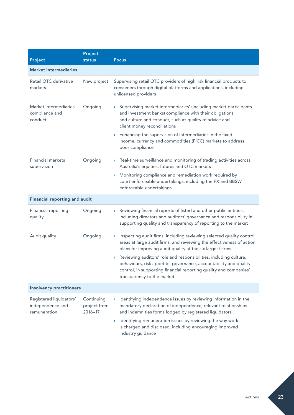| Project                                                     | Project<br>status                     | <b>Focus</b>                                                                                                                                                                                                                                                                                                                                                                                           |
|-------------------------------------------------------------|---------------------------------------|--------------------------------------------------------------------------------------------------------------------------------------------------------------------------------------------------------------------------------------------------------------------------------------------------------------------------------------------------------------------------------------------------------|
| <b>Market intermediaries</b>                                |                                       |                                                                                                                                                                                                                                                                                                                                                                                                        |
| Retail OTC derivative<br>markets                            | New project                           | Supervising retail OTC providers of high risk financial products to<br>consumers through digital platforms and applications, including<br>unlicensed providers                                                                                                                                                                                                                                         |
| Market intermediaries'<br>compliance and<br>conduct         | Ongoing                               | Supervising market intermediaries' (including market participants<br>$\mathbf{\Sigma}$<br>and investment banks) compliance with their obligations<br>and culture and conduct, such as quality of advice and<br>client money reconciliations<br>$\rightarrow$ Enhancing the supervision of intermediaries in the fixed<br>income, currency and commodities (FICC) markets to address<br>poor compliance |
| Financial markets<br>supervision                            | Ongoing                               | Real-time surveillance and monitoring of trading activities across<br>$\blacktriangleright$<br>Australia's equities, futures and OTC markets<br>Monitoring compliance and remediation work required by<br>$\blacktriangleright$<br>court enforceable undertakings, including the FX and BBSW<br>enforceable undertakings                                                                               |
| <b>Financial reporting and audit</b>                        |                                       |                                                                                                                                                                                                                                                                                                                                                                                                        |
| Financial reporting<br>quality                              | Ongoing                               | Reviewing financial reports of listed and other public entities,<br>$\blacktriangleright$<br>including directors and auditors' governance and responsibility in<br>supporting quality and transparency of reporting to the market                                                                                                                                                                      |
| Audit quality                                               | Ongoing                               | Inspecting audit firms, including reviewing selected quality control<br>$\mathbf{\Sigma}$<br>areas at large audit firms, and reviewing the effectiveness of action<br>plans for improving audit quality at the six largest firms                                                                                                                                                                       |
|                                                             |                                       | Reviewing auditors' role and responsibilities, including culture,<br>$\blacktriangleright$<br>behaviours, risk appetite, governance, accountability and quality<br>control, in supporting financial reporting quality and companies'<br>transparency to the market                                                                                                                                     |
| <b>Insolvency practitioners</b>                             |                                       |                                                                                                                                                                                                                                                                                                                                                                                                        |
| Registered liquidators'<br>independence and<br>remuneration | Continuing<br>project from<br>2016-17 | Identifying independence issues by reviewing information in the<br>mandatory declaration of independence, relevant relationships<br>and indemnities forms lodged by registered liquidators<br>Identifying remuneration issues by reviewing the way work<br>$\mathbf{\Sigma}$<br>is charged and disclosed, including encouraging improved<br>industry guidance                                          |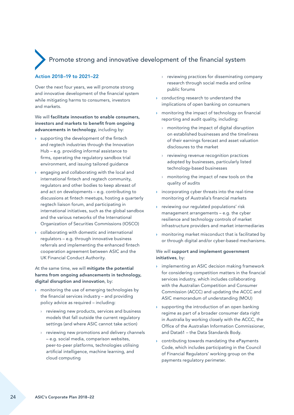# <span id="page-25-0"></span>Promote strong and innovative development of the financial system

#### Action 2018–19 to 2021–22

Over the next four years, we will promote strong and innovative development of the financial system while mitigating harms to consumers, investors and markets.

We will facilitate innovation to enable consumers. investors and markets to benefit from ongoing advancements in technology, including by:

- › supporting the development of the fintech and regtech industries through the Innovation Hub – e.g. providing informal assistance to firms, operating the regulatory sandbox trial environment, and issuing tailored guidance
- engaging and collaborating with the local and international fintech and regtech community, regulators and other bodies to keep abreast of and act on developments – e.g. contributing to discussions at fintech meetups, hosting a quarterly regtech liaison forum, and participating in international initiatives, such as the global sandbox and the various networks of the International Organization of Securities Commissions (IOSCO)
- › collaborating with domestic and international regulators – e.g. through innovative business referrals and implementing the enhanced fintech cooperation agreement between ASIC and the UK Financial Conduct Authority.

At the same time, we will mitigate the potential harms from ongoing advancements in technology, digital disruption and innovation, by:

- › monitoring the use of emerging technologies by the financial services industry – and providing policy advice as required – including:
	- › reviewing new products, services and business models that fall outside the current regulatory settings (and where ASIC cannot take action)
	- reviewing new promotions and delivery channels – e.g. social media, comparison websites, peer-to-peer platforms, technologies utilising artificial intelligence, machine learning, and cloud computing
- › reviewing practices for disseminating company research through social media and online public forums
- › conducting research to understand the implications of open banking on consumers
- › monitoring the impact of technology on financial reporting and audit quality, including:
	- › monitoring the impact of digital disruption on established businesses and the timeliness of their earnings forecast and asset valuation disclosures to the market
	- reviewing revenue recognition practices adopted by businesses, particularly listed technology-based businesses
	- monitoring the impact of new tools on the quality of audits
- › incorporating cyber threats into the real-time monitoring of Australia's financial markets
- › reviewing our regulated populations' risk management arrangements – e.g. the cyber resilience and technology controls of market infrastructure providers and market intermediaries
- › monitoring market misconduct that is facilitated by or through digital and/or cyber-based mechanisms.

#### We will support and implement government initiatives, by:

- › implementing an ASIC decision making framework for considering competition matters in the financial services industry, which includes collaborating with the Australian Competition and Consumer Commission (ACCC) and updating the ACCC and ASIC memorandum of understanding (MOU)
- $\rightarrow$  supporting the introduction of an open banking regime as part of a broader consumer data right in Australia by working closely with the ACCC, the Office of the Australian Information Commissioner, and Data61 – the Data Standards Body.
- › contributing towards mandating the ePayments Code, which includes participating in the Council of Financial Regulators' working group on the payments regulatory perimeter.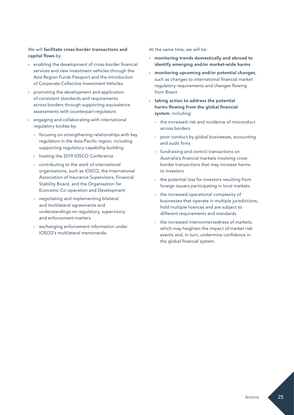#### We will facilitate cross-border transactions and capital flows by:

- › enabling the development of cross-border financial services and new investment vehicles through the Asia Region Funds Passport and the introduction of Corporate Collective Investment Vehicles
- › promoting the development and application of consistent standards and requirements across borders through supporting equivalence assessments with counterpart regulators
- engaging and collaborating with international regulatory bodies by:
	- › focusing on strengthening relationships with key regulators in the Asia-Pacific region, including supporting regulatory-capability-building
	- › hosting the 2019 IOSCO Conference
	- contributing to the work of international organisations, such as IOSCO, the International Association of Insurance Supervisors, Financial Stability Board, and the Organisation for Economic Co-operation and Development
	- › negotiating and implementing bilateral and multilateral agreements and understandings on regulatory, supervisory and enforcement matters
	- › exchanging enforcement information under IOSCO's multilateral memoranda.

At the same time, we will be:

- › monitoring trends domestically and abroad to identify emerging and/or market-wide harms
- › monitoring upcoming and/or potential changes, such as changes to international financial market regulatory requirements and changes flowing from Brexit
- $\rightarrow$  taking action to address the potential harms flowing from the global financial system, including:
	- the increased risk and incidence of misconduct across borders
	- › poor conduct by global businesses, accounting and audit firms
	- › fundraising and control transactions on Australia's financial markets involving crossborder transactions that may increase harms to investors
	- $\rightarrow$  the potential loss for investors resulting from foreign issuers participating in local markets
	- › the increased operational complexity of businesses that operate in multiple jurisdictions, hold multiple licences and are subject to different requirements and standards
	- the increased interconnectedness of markets, which may heighten the impact of market risk events and, in turn, undermine confidence in the global financial system.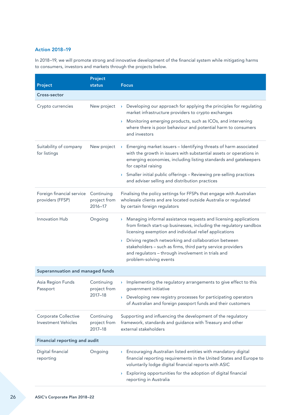#### Action 2018–19

In 2018–19, we will promote strong and innovative development of the financial system while mitigating harms to consumers, investors and markets through the projects below.

| Project                                                   | Project<br>status                     | <b>Focus</b>                                                                                                                                                                                                                                                                                                                                                                                                                   |  |
|-----------------------------------------------------------|---------------------------------------|--------------------------------------------------------------------------------------------------------------------------------------------------------------------------------------------------------------------------------------------------------------------------------------------------------------------------------------------------------------------------------------------------------------------------------|--|
| Cross-sector                                              |                                       |                                                                                                                                                                                                                                                                                                                                                                                                                                |  |
| Crypto currencies                                         | New project                           | Developing our approach for applying the principles for regulating<br>$\mathbf{y}$<br>market infrastructure providers to crypto exchanges<br>> Monitoring emerging products, such as ICOs, and intervening<br>where there is poor behaviour and potential harm to consumers<br>and investors                                                                                                                                   |  |
| Suitability of company<br>for listings                    | New project                           | Emerging market issuers - Identifying threats of harm associated<br>$\sum_{i=1}^{n}$<br>with the growth in issuers with substantial assets or operations in<br>emerging economies, including listing standards and gatekeepers<br>for capital raising<br>> Smaller initial public offerings - Reviewing pre-selling practices<br>and adviser selling and distribution practices                                                |  |
| Foreign financial service<br>providers (FFSP)             | Continuing<br>project from<br>2016-17 | Finalising the policy settings for FFSPs that engage with Australian<br>wholesale clients and are located outside Australia or regulated<br>by certain foreign regulators                                                                                                                                                                                                                                                      |  |
| Innovation Hub                                            | Ongoing                               | Managing informal assistance requests and licensing applications<br>$\mathbf{\Sigma}$<br>from fintech start-up businesses, including the regulatory sandbox<br>licensing exemption and individual relief applications<br>> Driving regtech networking and collaboration between<br>stakeholders - such as firms, third party service providers<br>and regulators - through involvement in trials and<br>problem-solving events |  |
| Superannuation and managed funds                          |                                       |                                                                                                                                                                                                                                                                                                                                                                                                                                |  |
| Asia Region Funds<br>Passport                             | Continuing<br>project from<br>2017-18 | Implementing the regulatory arrangements to give effect to this<br>Σ<br>government initiative<br>> Developing new registry processes for participating operators<br>of Australian and foreign passport funds and their customers                                                                                                                                                                                               |  |
| <b>Corporate Collective</b><br><b>Investment Vehicles</b> | Continuing<br>project from<br>2017-18 | Supporting and influencing the development of the regulatory<br>framework, standards and guidance with Treasury and other<br>external stakeholders                                                                                                                                                                                                                                                                             |  |
| Financial reporting and audit                             |                                       |                                                                                                                                                                                                                                                                                                                                                                                                                                |  |
| Digital financial<br>reporting                            | Ongoing                               | > Encouraging Australian listed entities with mandatory digital<br>financial reporting requirements in the United States and Europe to<br>voluntarily lodge digital financial reports with ASIC<br>Exploring opportunities for the adoption of digital financial<br>$\sum_{i=1}^{n}$                                                                                                                                           |  |
|                                                           |                                       | reporting in Australia                                                                                                                                                                                                                                                                                                                                                                                                         |  |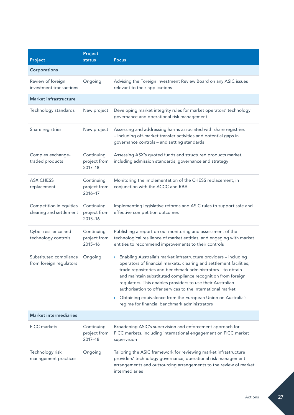| Project                                            | Project<br>status                         | <b>Focus</b>                                                                                                                                                                                                                                                                                                                                                                                                                                                                                                                                                   |
|----------------------------------------------------|-------------------------------------------|----------------------------------------------------------------------------------------------------------------------------------------------------------------------------------------------------------------------------------------------------------------------------------------------------------------------------------------------------------------------------------------------------------------------------------------------------------------------------------------------------------------------------------------------------------------|
| Corporations                                       |                                           |                                                                                                                                                                                                                                                                                                                                                                                                                                                                                                                                                                |
| Review of foreign<br>investment transactions       | Ongoing                                   | Advising the Foreign Investment Review Board on any ASIC issues<br>relevant to their applications                                                                                                                                                                                                                                                                                                                                                                                                                                                              |
| <b>Market infrastructure</b>                       |                                           |                                                                                                                                                                                                                                                                                                                                                                                                                                                                                                                                                                |
| Technology standards                               | New project                               | Developing market integrity rules for market operators' technology<br>governance and operational risk management                                                                                                                                                                                                                                                                                                                                                                                                                                               |
| Share registries                                   | New project                               | Assessing and addressing harms associated with share registries<br>- including off-market transfer activities and potential gaps in<br>governance controls - and setting standards                                                                                                                                                                                                                                                                                                                                                                             |
| Complex exchange-<br>traded products               | Continuing<br>project from<br>2017-18     | Assessing ASX's quoted funds and structured products market,<br>including admission standards, governance and strategy                                                                                                                                                                                                                                                                                                                                                                                                                                         |
| <b>ASX CHESS</b><br>replacement                    | Continuing<br>project from<br>2016-17     | Monitoring the implementation of the CHESS replacement, in<br>conjunction with the ACCC and RBA                                                                                                                                                                                                                                                                                                                                                                                                                                                                |
| Competition in equities<br>clearing and settlement | Continuing<br>project from<br>$2015 - 16$ | Implementing legislative reforms and ASIC rules to support safe and<br>effective competition outcomes                                                                                                                                                                                                                                                                                                                                                                                                                                                          |
| Cyber resilience and<br>technology controls        | Continuing<br>project from<br>2015-16     | Publishing a report on our monitoring and assessment of the<br>technological resilience of market entities, and engaging with market<br>entities to recommend improvements to their controls                                                                                                                                                                                                                                                                                                                                                                   |
| Substituted compliance<br>from foreign regulators  | Ongoing                                   | Enabling Australia's market infrastructure providers - including<br>$\mathbf{\Sigma}$<br>operators of financial markets, clearing and settlement facilities,<br>trade repositories and benchmark administrators - to obtain<br>and maintain substituted compliance recognition from foreign<br>regulators. This enables providers to use their Australian<br>authorisation to offer services to the international market<br>Obtaining equivalence from the European Union on Australia's<br>$\mathbf{\Sigma}$<br>regime for financial benchmark administrators |
| <b>Market intermediaries</b>                       |                                           |                                                                                                                                                                                                                                                                                                                                                                                                                                                                                                                                                                |
| FICC markets                                       | Continuing<br>project from<br>2017-18     | Broadening ASIC's supervision and enforcement approach for<br>FICC markets, including international engagement on FICC market<br>supervision                                                                                                                                                                                                                                                                                                                                                                                                                   |
| Technology risk<br>management practices            | Ongoing                                   | Tailoring the ASIC framework for reviewing market infrastructure<br>providers' technology governance, operational risk management<br>arrangements and outsourcing arrangements to the review of market<br>intermediaries                                                                                                                                                                                                                                                                                                                                       |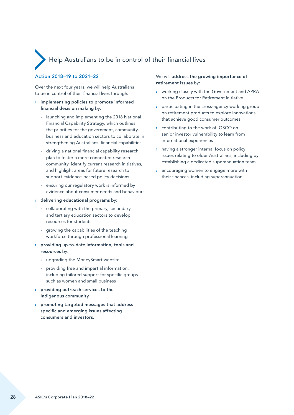# <span id="page-29-0"></span>Help Australians to be in control of their financial lives

#### Action 2018–19 to 2021–22

Over the next four years, we will help Australians to be in control of their financial lives through:

- › implementing policies to promote informed financial decision making by:
	- › launching and implementing the 2018 National Financial Capability Strategy, which outlines the priorities for the government, community, business and education sectors to collaborate in strengthening Australians' financial capabilities
	- › driving a national financial capability research plan to foster a more connected research community, identify current research initiatives, and highlight areas for future research to support evidence-based policy decisions
	- › ensuring our regulatory work is informed by evidence about consumer needs and behaviours
- › delivering educational programs by:
	- $\rightarrow$  collaborating with the primary, secondary and tertiary education sectors to develop resources for students
	- › growing the capabilities of the teaching workforce through professional learning
- › providing up-to-date information, tools and resources by:
	- › upgrading the MoneySmart website
	- $\rightarrow$  providing free and impartial information, including tailored support for specific groups such as women and small business
- › providing outreach services to the Indigenous community
- promoting targeted messages that address specific and emerging issues affecting consumers and investors.

We will address the growing importance of retirement issues by:

- › working closely with the Government and APRA on the Products for Retirement initiative
- › participating in the cross-agency working group on retirement products to explore innovations that achieve good consumer outcomes
- › contributing to the work of IOSCO on senior investor vulnerability to learn from international experiences
- having a stronger internal focus on policy issues relating to older Australians, including by establishing a dedicated superannuation team
- › encouraging women to engage more with their finances, including superannuation.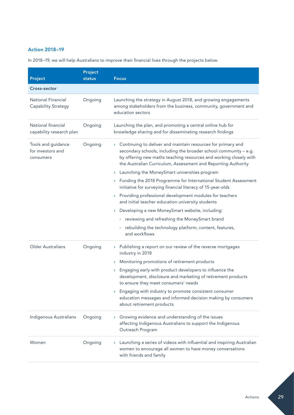#### Action 2018–19

| Project                                                 | Project<br>status | <b>Focus</b>                                                                                                                                                                                                                                                                                                                                                                                                                                                                                                                                                                                                                                                                                                                                                                                                         |
|---------------------------------------------------------|-------------------|----------------------------------------------------------------------------------------------------------------------------------------------------------------------------------------------------------------------------------------------------------------------------------------------------------------------------------------------------------------------------------------------------------------------------------------------------------------------------------------------------------------------------------------------------------------------------------------------------------------------------------------------------------------------------------------------------------------------------------------------------------------------------------------------------------------------|
| Cross-sector                                            |                   |                                                                                                                                                                                                                                                                                                                                                                                                                                                                                                                                                                                                                                                                                                                                                                                                                      |
| <b>National Financial</b><br><b>Capability Strategy</b> | Ongoing           | Launching the strategy in August 2018, and growing engagements<br>among stakeholders from the business, community, government and<br>education sectors                                                                                                                                                                                                                                                                                                                                                                                                                                                                                                                                                                                                                                                               |
| National financial<br>capability research plan          | Ongoing           | Launching the plan, and promoting a central online hub for<br>knowledge sharing and for disseminating research findings                                                                                                                                                                                                                                                                                                                                                                                                                                                                                                                                                                                                                                                                                              |
| Tools and guidance<br>for investors and<br>consumers    | Ongoing           | Continuing to deliver and maintain resources for primary and<br>$\mathbf{\Sigma}$<br>secondary schools, including the broader school community - e.g.<br>by offering new maths teaching resources and working closely with<br>the Australian Curriculum, Assessment and Reporting Authority<br>Launching the MoneySmart universities program<br>Σ<br>> Funding the 2018 Programme for International Student Assessment<br>initiative for surveying financial literacy of 15-year-olds<br>Providing professional development modules for teachers<br>Σ<br>and initial teacher education university students<br>Developing a new MoneySmart website, including:<br>Σ<br>> reviewing and refreshing the MoneySmart brand<br>rebuilding the technology platform, content, features,<br>$\sum_{i=1}^{n}$<br>and workflows |
| Older Australians                                       | Ongoing           | > Publishing a report on our review of the reverse mortgages<br>industry in 2018<br>Monitoring promotions of retirement products<br>$\mathcal{F}$<br>Engaging early with product developers to influence the<br>Y.<br>development, disclosure and marketing of retirement products<br>to ensure they meet consumers' needs<br>Engaging with industry to promote consistent consumer<br>Σ<br>education messages and informed decision making by consumers<br>about retirement products                                                                                                                                                                                                                                                                                                                                |
| Indigenous Australians                                  | Ongoing           | Growing evidence and understanding of the issues<br>Σ<br>affecting Indigenous Australians to support the Indigenous<br>Outreach Program                                                                                                                                                                                                                                                                                                                                                                                                                                                                                                                                                                                                                                                                              |
| Women                                                   | Ongoing           | Launching a series of videos with influential and inspiring Australian<br>Σ<br>women to encourage all women to have money conversations<br>with friends and family                                                                                                                                                                                                                                                                                                                                                                                                                                                                                                                                                                                                                                                   |

In 2018–19, we will help Australians to improve their financial lives through the projects below.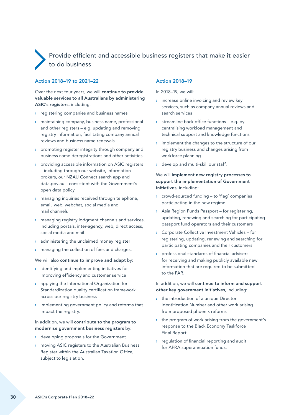# <span id="page-31-0"></span> Provide efficient and accessible business registers that make it easier to do business

#### Action 2018–19 to 2021–22

Over the next four years, we will continue to provide valuable services to all Australians by administering ASIC's registers, including:

- › registering companies and business names
- › maintaining company, business name, professional and other registers – e.g. updating and removing registry information, facilitating company annual reviews and business name renewals
- promoting register integrity through company and business name deregistrations and other activities
- › providing accessible information on ASIC registers – including through our website, information brokers, our NZAU Connect search app and data.gov.au – consistent with the Government's open data policy
- › managing inquiries received through telephone, email, web, webchat, social media and mail channels
- › managing registry lodgment channels and services, including portals, inter-agency, web, direct access, social media and mail
- › administering the unclaimed money register
- managing the collection of fees and charges.

We will also continue to improve and adapt by:

- › identifying and implementing initiatives for improving efficiency and customer service
- › applying the International Organization for Standardization quality certification framework across our registry business
- $\rightarrow$  implementing government policy and reforms that impact the registry.

#### In addition, we will contribute to the program to modernise government business registers by:

- › developing proposals for the Government
- › moving ASIC registers to the Australian Business Register within the Australian Taxation Office, subject to legislation.

#### Action 2018–19

In 2018–19, we will:

- $\rightarrow$  increase online invoicing and review key services, such as company annual reviews and search services
- › streamline back office functions e.g. by centralising workload management and technical support and knowledge functions
- › implement the changes to the structure of our registry business and changes arising from workforce planning
- › develop and multi-skill our staff.

We will implement new registry processes to support the implementation of Government initiatives, including:

- › crowd-sourced funding to 'flag' companies participating in the new regime
- › Asia Region Funds Passport for registering, updating, renewing and searching for participating passport fund operators and their customers
- › Corporate Collective Investment Vehicles for registering, updating, renewing and searching for participating companies and their customers
- professional standards of financial advisers for receiving and making publicly available new information that are required to be submitted to the FAR.

In addition, we will continue to inform and support other key government initiatives, including:

- › the introduction of a unique Director Identification Number and other work arising from proposed phoenix reforms
- › the program of work arising from the government's response to the Black Economy Taskforce Final Report
- › regulation of financial reporting and audit for APRA superannuation funds.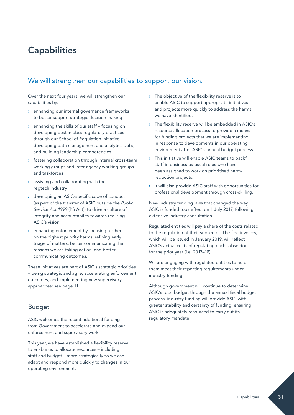# <span id="page-32-0"></span>**Capabilities**

# We will strengthen our capabilities to support our vision.

Over the next four years, we will strengthen our capabilities by:

- › enhancing our internal governance frameworks to better support strategic decision making
- enhancing the skills of our staff focusing on developing best in class regulatory practices through our School of Regulation initiative, developing data management and analytics skills, and building leadership competencies
- › fostering collaboration through internal cross-team working groups and inter-agency working groups and taskforces
- › assisting and collaborating with the regtech industry
- › developing an ASIC-specific code of conduct (as part of the transfer of ASIC outside the *Public Service Act 1999* (PS Act)) to drive a culture of integrity and accountability towards realising ASIC's vision
- › enhancing enforcement by focusing further on the highest priority harms, refining early triage of matters, better communicating the reasons we are taking action, and better communicating outcomes.

These initiatives are part of ASIC's strategic priorities – being strategic and agile, accelerating enforcement outcomes, and implementing new supervisory approaches: see page 11.

## Budget

ASIC welcomes the recent additional funding from Government to accelerate and expand our enforcement and supervisory work.

This year, we have established a flexibility reserve to enable us to allocate resources – including staff and budget – more strategically so we can adapt and respond more quickly to changes in our operating environment.

- The objective of the flexibility reserve is to enable ASIC to support appropriate initiatives and projects more quickly to address the harms we have identified.
- › The flexibility reserve will be embedded in ASIC's resource allocation process to provide a means for funding projects that we are implementing in response to developments in our operating environment after ASIC's annual budget process.
- › This initiative will enable ASIC teams to backfill staff in business-as-usual roles who have been assigned to work on prioritised harmreduction projects.
- › It will also provide ASIC staff with opportunities for professional development through cross-skilling.

New industry funding laws that changed the way ASIC is funded took effect on 1 July 2017, following extensive industry consultation.

Regulated entities will pay a share of the costs related to the regulation of their subsector. The first invoices, which will be issued in January 2019, will reflect ASIC's actual costs of regulating each subsector for the prior year (i.e. 2017–18).

We are engaging with regulated entities to help them meet their reporting requirements under industry funding.

Although government will continue to determine ASIC's total budget through the annual fiscal budget process, industry funding will provide ASIC with greater stability and certainty of funding, ensuring ASIC is adequately resourced to carry out its regulatory mandate.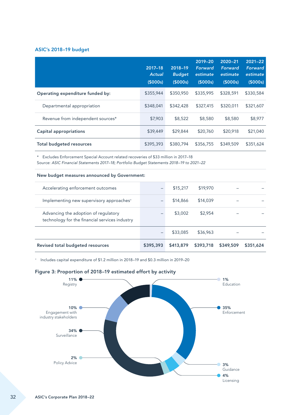#### ASIC's 2018–19 budget

|                                   | 2017-18<br><b>Actual</b><br>(5000s) | 2018-19<br><b>Budget</b><br>(5000s) | 2019-20<br>Forward<br>estimate<br>(S000s) | $2020 - 21$<br>Forward<br>estimate<br>(S000s) | $2021 - 22$<br><b>Forward</b><br>estimate<br>(\$000s) |
|-----------------------------------|-------------------------------------|-------------------------------------|-------------------------------------------|-----------------------------------------------|-------------------------------------------------------|
| Operating expenditure funded by:  | \$355,944                           | \$350,950                           | \$335,995                                 | \$328,591                                     | \$330,584                                             |
| Departmental appropriation        | \$348,041                           | \$342,428                           | \$327,415                                 | \$320,011                                     | \$321,607                                             |
| Revenue from independent sources* | \$7,903                             | \$8,522                             | \$8,580                                   | \$8,580                                       | \$8,977                                               |
| <b>Capital appropriations</b>     | \$39,449                            | \$29,844                            | \$20,760                                  | \$20,918                                      | \$21,040                                              |
| <b>Total budgeted resources</b>   | \$395,393                           | \$380,794                           | \$356,755                                 | \$349,509                                     | \$351,624                                             |

\* Excludes Enforcement Special Account related recoveries of \$33 million in 2017–18

Source: *ASIC Financial Statements 2017–18; Portfolio Budget Statements 2018–19 to 2021–22*

#### New budget measures announced by Government:

| Revised total budgeted resources                                                       | \$395,393 | \$413,879 | \$393,718 | \$349,509 | \$351,624 |
|----------------------------------------------------------------------------------------|-----------|-----------|-----------|-----------|-----------|
|                                                                                        |           | \$33,085  | \$36,963  |           |           |
| Advancing the adoption of regulatory<br>technology for the financial services industry |           | \$3,002   | \$2,954   |           |           |
| Implementing new supervisory approaches <sup>+</sup>                                   |           | \$14,866  | \$14,039  |           |           |
| Accelerating enforcement outcomes                                                      |           | \$15,217  | \$19,970  |           |           |

<sup>+</sup> Includes capital expenditure of \$1.2 million in 2018–19 and \$0.3 million in 2019–20



#### Figure 3: Proportion of 2018–19 estimated effort by activity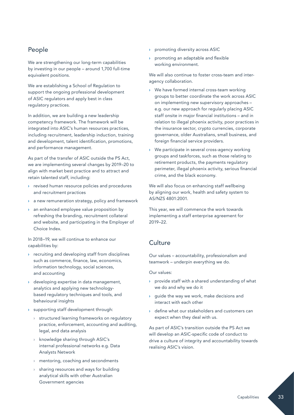## People

We are strengthening our long-term capabilities by investing in our people – around 1,700 full-time equivalent positions.

We are establishing a School of Regulation to support the ongoing professional development of ASIC regulators and apply best in class regulatory practices.

In addition, we are building a new leadership competency framework. The framework will be integrated into ASIC's human resources practices, including recruitment, leadership induction, training and development, talent identification, promotions, and performance management.

As part of the transfer of ASIC outside the PS Act, we are implementing several changes by 2019–20 to align with market best practice and to attract and retain talented staff, including:

- › revised human resource policies and procedures and recruitment practices
- › a new remuneration strategy, policy and framework
- an enhanced employee value proposition by refreshing the branding, recruitment collateral and website, and participating in the Employer of Choice Index.

In 2018–19, we will continue to enhance our capabilities by:

- › recruiting and developing staff from disciplines such as commerce, finance, law, economics, information technology, social sciences, and accounting
- › developing expertise in data management, analytics and applying new technologybased regulatory techniques and tools, and behavioural insights
- › supporting staff development through:
	- › structured learning frameworks on regulatory practice, enforcement, accounting and auditing, legal, and data analysis
	- › knowledge sharing through ASIC's internal professional networks e.g. Data Analysts Network
	- › mentoring, coaching and secondments
	- › sharing resources and ways for building analytical skills with other Australian Government agencies
- › promoting diversity across ASIC
- › promoting an adaptable and flexible working environment.

We will also continue to foster cross-team and interagency collaboration.

- › We have formed internal cross-team working groups to better coordinate the work across ASIC on implementing new supervisory approaches – e.g. our new approach for regularly placing ASIC staff onsite in major financial institutions – and in relation to illegal phoenix activity, poor practices in the insurance sector, crypto currencies, corporate governance, older Australians, small business, and foreign financial service providers.
- We participate in several cross-agency working groups and taskforces, such as those relating to retirement products, the payments regulatory perimeter, illegal phoenix activity, serious financial crime, and the black economy.

We will also focus on enhancing staff wellbeing by aligning our work, health and safety system to AS/NZS 4801:2001.

This year, we will commence the work towards implementing a staff enterprise agreement for 2019–22.

## **Culture**

Our values – accountability, professionalism and teamwork – underpin everything we do.

Our values:

- › provide staff with a shared understanding of what we do and why we do it
- › guide the way we work, make decisions and interact with each other
- › define what our stakeholders and customers can expect when they deal with us.

As part of ASIC's transition outside the PS Act we will develop an ASIC-specific code of conduct to drive a culture of integrity and accountability towards realising ASIC's vision.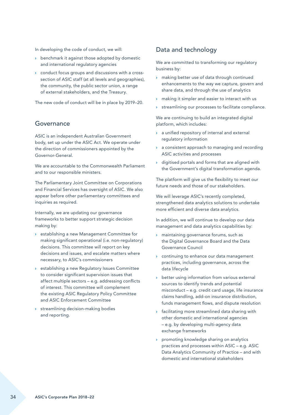In developing the code of conduct, we will:

- › benchmark it against those adopted by domestic and international regulatory agencies
- › conduct focus groups and discussions with a crosssection of ASIC staff (at all levels and geographies), the community, the public sector union, a range of external stakeholders, and the Treasury.

The new code of conduct will be in place by 2019–20.

#### Governance

ASIC is an independent Australian Government body, set up under the ASIC Act. We operate under the direction of commissioners appointed by the Governor-General.

We are accountable to the Commonwealth Parliament and to our responsible ministers.

The Parliamentary Joint Committee on Corporations and Financial Services has oversight of ASIC. We also appear before other parliamentary committees and inquiries as required.

Internally, we are updating our governance frameworks to better support strategic decision making by:

- › establishing a new Management Committee for making significant operational (i.e. non-regulatory) decisions. This committee will report on key decisions and issues, and escalate matters where necessary, to ASIC's commissioners
- › establishing a new Regulatory Issues Committee to consider significant supervision issues that affect multiple sectors – e.g. addressing conflicts of interest. This committee will complement the existing ASIC Regulatory Policy Committee and ASIC Enforcement Committee
- › streamlining decision-making bodies and reporting.

#### Data and technology

We are committed to transforming our regulatory business by:

- making better use of data through continued enhancements to the way we capture, govern and share data, and through the use of analytics
- in making it simpler and easier to interact with us
- › streamlining our processes to facilitate compliance.

We are continuing to build an integrated digital platform, which includes:

- a unified repository of internal and external regulatory information
- › a consistent approach to managing and recording ASIC activities and processes
- › digitised portals and forms that are aligned with the Government's digital transformation agenda.

The platform will give us the flexibility to meet our future needs and those of our stakeholders.

We will leverage ASIC's recently completed, strengthened data analytics solutions to undertake more efficient and diverse data analytics.

In addition, we will continue to develop our data management and data analytics capabilities by:

- › maintaining governance forums, such as the Digital Governance Board and the Data Governance Council
- › continuing to enhance our data management practices, including governance, across the data lifecycle
- › better using information from various external sources to identify trends and potential misconduct – e.g. credit card usage, life insurance claims handling, add-on insurance distribution, funds management flows, and dispute resolution
- › facilitating more streamlined data sharing with other domestic and international agencies – e.g. by developing multi-agency data exchange frameworks
- › promoting knowledge sharing on analytics practices and processes within ASIC – e.g. ASIC Data Analytics Community of Practice – and with domestic and international stakeholders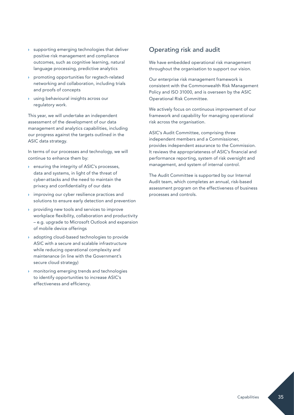- › supporting emerging technologies that deliver positive risk management and compliance outcomes, such as cognitive learning, natural language processing, predictive analytics
- › promoting opportunities for regtech-related networking and collaboration, including trials and proofs of concepts
- › using behavioural insights across our regulatory work.

This year, we will undertake an independent assessment of the development of our data management and analytics capabilities, including our progress against the targets outlined in the ASIC data strategy.

In terms of our processes and technology, we will continue to enhance them by:

- › ensuring the integrity of ASIC's processes, data and systems, in light of the threat of cyber-attacks and the need to maintain the privacy and confidentiality of our data
- › improving our cyber resilience practices and solutions to ensure early detection and prevention
- providing new tools and services to improve workplace flexibility, collaboration and productivity – e.g. upgrade to Microsoft Outlook and expansion of mobile device offerings
- › adopting cloud-based technologies to provide ASIC with a secure and scalable infrastructure while reducing operational complexity and maintenance (in line with the Government's secure cloud strategy)
- › monitoring emerging trends and technologies to identify opportunities to increase ASIC's effectiveness and efficiency.

## Operating risk and audit

We have embedded operational risk management throughout the organisation to support our vision.

Our enterprise risk management framework is consistent with the Commonwealth Risk Management Policy and ISO 31000, and is overseen by the ASIC Operational Risk Committee.

We actively focus on continuous improvement of our framework and capability for managing operational risk across the organisation.

ASIC's Audit Committee, comprising three independent members and a Commissioner, provides independent assurance to the Commission. It reviews the appropriateness of ASIC's financial and performance reporting, system of risk oversight and management, and system of internal control.

The Audit Committee is supported by our Internal Audit team, which completes an annual, risk-based assessment program on the effectiveness of business processes and controls.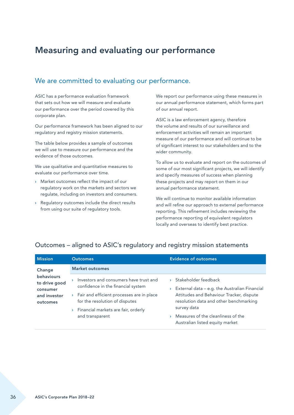# <span id="page-37-0"></span>Measuring and evaluating our performance

## We are committed to evaluating our performance.

ASIC has a performance evaluation framework that sets out how we will measure and evaluate our performance over the period covered by this corporate plan.

Our performance framework has been aligned to our regulatory and registry mission statements.

The table below provides a sample of outcomes we will use to measure our performance and the evidence of those outcomes.

We use qualitative and quantitative measures to evaluate our performance over time.

- › Market outcomes reflect the impact of our regulatory work on the markets and sectors we regulate, including on investors and consumers.
- › Regulatory outcomes include the direct results from using our suite of regulatory tools.

We report our performance using these measures in our annual performance statement, which forms part of our annual report.

ASIC is a law enforcement agency, therefore the volume and results of our surveillance and enforcement activities will remain an important measure of our performance and will continue to be of significant interest to our stakeholders and to the wider community.

To allow us to evaluate and report on the outcomes of some of our most significant projects, we will identify and specify measures of success when planning these projects and may report on them in our annual performance statement.

We will continue to monitor available information and will refine our approach to external performance reporting. This refinement includes reviewing the performance reporting of equivalent regulators locally and overseas to identify best practice.

| <b>Mission</b>                                                             | <b>Outcomes</b>                                                                                                                                                                                                       | <b>Evidence of outcomes</b>                                                                                                                                                                                                                           |  |  |  |  |
|----------------------------------------------------------------------------|-----------------------------------------------------------------------------------------------------------------------------------------------------------------------------------------------------------------------|-------------------------------------------------------------------------------------------------------------------------------------------------------------------------------------------------------------------------------------------------------|--|--|--|--|
| Change                                                                     | <b>Market outcomes</b>                                                                                                                                                                                                |                                                                                                                                                                                                                                                       |  |  |  |  |
| <b>behaviours</b><br>to drive good<br>consumer<br>and investor<br>outcomes | Investors and consumers have trust and<br>confidence in the financial system<br>Fair and efficient processes are in place<br>for the resolution of disputes<br>Financial markets are fair, orderly<br>and transparent | > Stakeholder feedback<br>External data - e.g. the Australian Financial<br>Attitudes and Behaviour Tracker, dispute<br>resolution data and other benchmarking<br>survey data<br>Measures of the cleanliness of the<br>Australian listed equity market |  |  |  |  |

### Outcomes – aligned to ASIC's regulatory and registry mission statements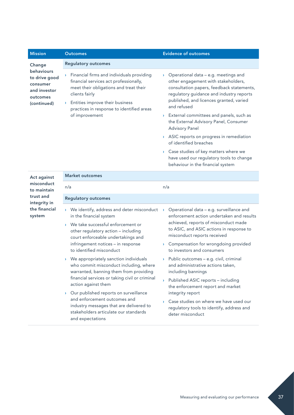| <b>Mission</b>                                                                     | <b>Outcomes</b>                                                                                                                                                                                                                                                       | <b>Evidence of outcomes</b>                                                                                                                                                                                                      |
|------------------------------------------------------------------------------------|-----------------------------------------------------------------------------------------------------------------------------------------------------------------------------------------------------------------------------------------------------------------------|----------------------------------------------------------------------------------------------------------------------------------------------------------------------------------------------------------------------------------|
| Change                                                                             | <b>Regulatory outcomes</b>                                                                                                                                                                                                                                            |                                                                                                                                                                                                                                  |
| behaviours<br>to drive good<br>consumer<br>and investor<br>outcomes<br>(continued) | Financial firms and individuals providing<br>$\mathbf{\Sigma}$<br>financial services act professionally,<br>meet their obligations and treat their<br>clients fairly<br>Entities improve their business<br>$\mathcal{P}$<br>practices in response to identified areas | > Operational data - e.g. meetings and<br>other engagement with stakeholders,<br>consultation papers, feedback statements,<br>regulatory guidance and industry reports<br>published, and licences granted, varied<br>and refused |
|                                                                                    | of improvement                                                                                                                                                                                                                                                        | External committees and panels, such as<br>the External Advisory Panel, Consumer<br><b>Advisory Panel</b>                                                                                                                        |
|                                                                                    |                                                                                                                                                                                                                                                                       | > ASIC reports on progress in remediation<br>of identified breaches                                                                                                                                                              |
|                                                                                    |                                                                                                                                                                                                                                                                       | Case studies of key matters where we<br>have used our regulatory tools to change<br>behaviour in the financial system                                                                                                            |
| Act against                                                                        | Market outcomes                                                                                                                                                                                                                                                       |                                                                                                                                                                                                                                  |
| misconduct<br>to maintain                                                          | n/a                                                                                                                                                                                                                                                                   | n/a                                                                                                                                                                                                                              |
| trust and<br>integrity in                                                          | <b>Regulatory outcomes</b>                                                                                                                                                                                                                                            |                                                                                                                                                                                                                                  |
| the financial<br>system                                                            | > We identify, address and deter misconduct<br>in the financial system                                                                                                                                                                                                | Operational data - e.g. surveillance and<br>enforcement action undertaken and results                                                                                                                                            |
|                                                                                    | We take successful enforcement or<br>$\mathbf{y}$<br>other regulatory action - including<br>court enforceable undertakings and                                                                                                                                        | achieved, reports of misconduct made<br>to ASIC, and ASIC actions in response to<br>misconduct reports received                                                                                                                  |

infringement notices – in response

› We appropriately sanction individuals who commit misconduct including, where warranted, banning them from providing financial services or taking civil or criminal

› Our published reports on surveillance and enforcement outcomes and

industry messages that are delivered to stakeholders articulate our standards

to identified misconduct

action against them

and expectations

- › Compensation for wrongdoing provided to investors and consumers
- › Public outcomes e.g. civil, criminal and administrative actions taken, including bannings
- › Published ASIC reports including the enforcement report and market integrity report
- › Case studies on where we have used our regulatory tools to identify, address and deter misconduct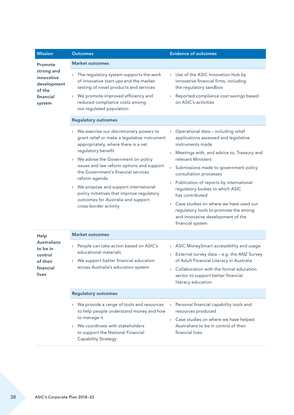| <b>Mission</b>                                                              | <b>Outcomes</b>                                                                                                                                                                                                                                                                                                                                                                                                                                         | <b>Evidence of outcomes</b>                                                                                                                                                                                                                                                                                                                                                                                                                                                                                              |  |  |  |
|-----------------------------------------------------------------------------|---------------------------------------------------------------------------------------------------------------------------------------------------------------------------------------------------------------------------------------------------------------------------------------------------------------------------------------------------------------------------------------------------------------------------------------------------------|--------------------------------------------------------------------------------------------------------------------------------------------------------------------------------------------------------------------------------------------------------------------------------------------------------------------------------------------------------------------------------------------------------------------------------------------------------------------------------------------------------------------------|--|--|--|
| Promote                                                                     | <b>Market outcomes</b>                                                                                                                                                                                                                                                                                                                                                                                                                                  |                                                                                                                                                                                                                                                                                                                                                                                                                                                                                                                          |  |  |  |
| strong and<br>innovative<br>development<br>of the<br>financial<br>system    | The regulatory system supports the work<br>of innovative start-ups and the market<br>testing of novel products and services<br>We promote improved efficiency and<br>reduced compliance costs among<br>our regulated population                                                                                                                                                                                                                         | > Use of the ASIC Innovation Hub by<br>innovative financial firms, including<br>the regulatory sandbox<br>Reported compliance cost savings based<br>on ASIC's activities                                                                                                                                                                                                                                                                                                                                                 |  |  |  |
|                                                                             | <b>Regulatory outcomes</b>                                                                                                                                                                                                                                                                                                                                                                                                                              |                                                                                                                                                                                                                                                                                                                                                                                                                                                                                                                          |  |  |  |
|                                                                             | > We exercise our discretionary powers to<br>grant relief or make a legislative instrument<br>appropriately, where there is a net<br>regulatory benefit<br>We advise the Government on policy<br>issues and law reform options and support<br>the Government's financial services<br>reform agenda<br>We propose and support international<br>policy initiatives that improve regulatory<br>outcomes for Australia and support<br>cross-border activity | $\rightarrow$ Operational data – including relief<br>applications assessed and legislative<br>instruments made<br>Meetings with, and advice to, Treasury and<br>relevant Ministers<br>> Submissions made to government policy<br>consultation processes<br>> Publication of reports by international<br>regulatory bodies to which ASIC<br>has contributed<br>Case studies on where we have used our<br>$\mathcal{P}$<br>regulatory tools to promote the strong<br>and innovative development of the<br>financial system |  |  |  |
| Help                                                                        | <b>Market outcomes</b>                                                                                                                                                                                                                                                                                                                                                                                                                                  |                                                                                                                                                                                                                                                                                                                                                                                                                                                                                                                          |  |  |  |
| <b>Australians</b><br>to be in<br>control<br>of their<br>financial<br>lives | People can take action based on ASIC's<br>educational materials<br>> We support better financial education<br>across Australia's education system                                                                                                                                                                                                                                                                                                       | > ASIC MoneySmart accessibility and usage<br>> External survey data - e.g. the ANZ Survey<br>of Adult Financial Literacy in Australia<br>Collaboration with the formal education<br>sector to support better financial<br>literacy education                                                                                                                                                                                                                                                                             |  |  |  |
|                                                                             | <b>Regulatory outcomes</b>                                                                                                                                                                                                                                                                                                                                                                                                                              |                                                                                                                                                                                                                                                                                                                                                                                                                                                                                                                          |  |  |  |
|                                                                             | We provide a range of tools and resources<br>to help people understand money and how<br>to manage it<br>We coordinate with stakeholders<br>to support the National Financial<br>Capability Strategy                                                                                                                                                                                                                                                     | Personal financial capability tools and<br>resources produced<br>Case studies on where we have helped<br>Australians to be in control of their<br>financial lives                                                                                                                                                                                                                                                                                                                                                        |  |  |  |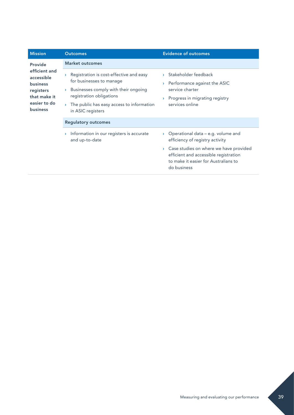| <b>Mission</b>                                                                                                 | <b>Outcomes</b>                                                                                                                                                                                                       | <b>Evidence of outcomes</b>                                                                                                                          |  |  |
|----------------------------------------------------------------------------------------------------------------|-----------------------------------------------------------------------------------------------------------------------------------------------------------------------------------------------------------------------|------------------------------------------------------------------------------------------------------------------------------------------------------|--|--|
| Provide                                                                                                        | <b>Market outcomes</b>                                                                                                                                                                                                |                                                                                                                                                      |  |  |
| efficient and<br>accessible<br><b>business</b><br>registers<br>that make it<br>easier to do<br><b>business</b> | Registration is cost-effective and easy<br>Y.<br>for businesses to manage<br>Businesses comply with their ongoing<br>Y.<br>registration obligations<br>The public has easy access to information<br>in ASIC registers | Stakeholder feedback<br>Performance against the ASIC<br>Y.<br>service charter<br>Progress in migrating registry<br>$\mathcal{P}$<br>services online  |  |  |
|                                                                                                                | <b>Regulatory outcomes</b>                                                                                                                                                                                            |                                                                                                                                                      |  |  |
|                                                                                                                | Information in our registers is accurate<br>Y.<br>and up-to-date                                                                                                                                                      | Operational data – e.g. volume and<br>$\sum_{i=1}^{n}$<br>efficiency of registry activity                                                            |  |  |
|                                                                                                                |                                                                                                                                                                                                                       | $\rightarrow$ Case studies on where we have provided<br>efficient and accessible registration<br>to make it easier for Australians to<br>do business |  |  |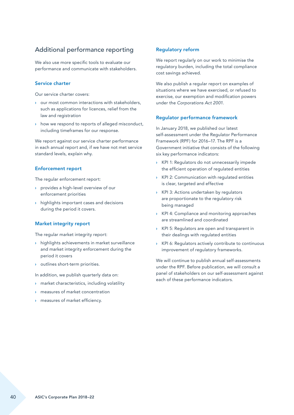## Additional performance reporting

We also use more specific tools to evaluate our performance and communicate with stakeholders.

#### Service charter

Our service charter covers:

- › our most common interactions with stakeholders, such as applications for licences, relief from the law and registration
- › how we respond to reports of alleged misconduct, including timeframes for our response.

We report against our service charter performance in each annual report and, if we have not met service standard levels, explain why.

#### Enforcement report

The regular enforcement report:

- › provides a high-level overview of our enforcement priorities
- › highlights important cases and decisions during the period it covers.

#### Market integrity report

The regular market integrity report:

- › highlights achievements in market surveillance and market integrity enforcement during the period it covers
- › outlines short-term priorities.

In addition, we publish quarterly data on:

- › market characteristics, including volatility
- › measures of market concentration
- › measures of market efficiency.

#### Regulatory reform

We report regularly on our work to minimise the regulatory burden, including the total compliance cost savings achieved.

We also publish a regular report on examples of situations where we have exercised, or refused to exercise, our exemption and modification powers under the *Corporations Act 2001*.

#### Regulator performance framework

In January 2018, we published our latest self-assessment under the Regulator Performance Framework (RPF) for 2016–17. The RPF is a Government initiative that consists of the following six key performance indicators:

- › KPI 1: Regulators do not unnecessarily impede the efficient operation of regulated entities
- › KPI 2: Communication with regulated entities is clear, targeted and effective
- › KPI 3: Actions undertaken by regulators are proportionate to the regulatory risk being managed
- › KPI 4: Compliance and monitoring approaches are streamlined and coordinated
- › KPI 5: Regulators are open and transparent in their dealings with regulated entities
- KPI 6: Regulators actively contribute to continuous improvement of regulatory frameworks.

We will continue to publish annual self-assessments under the RPF. Before publication, we will consult a panel of stakeholders on our self-assessment against each of these performance indicators.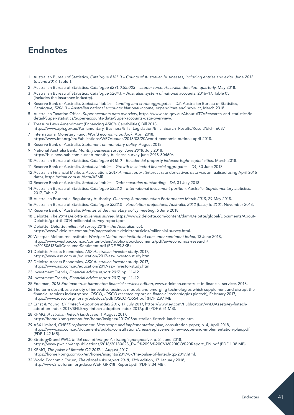# <span id="page-42-0"></span>Endnotes

- 1 Australian Bureau of Statistics, *Catalogue 8165.0 Counts of Australian businesses, including entries and exits, June 2013 to June 2017*, Table 1.
- 2 Australian Bureau of Statistics, *Catalogue 6291.0.55.003 Labour force, Australia, detailed, quarterly*, May 2018.
- 3 Australian Bureau of Statistics, *Catalogue 5204.0 Australian system of national accounts*, 2016–17, Table 05 (includes the insurance industry).
- 4 Reserve Bank of Australia, *Statistical tables Lending and credit aggregates D2*; Australian Bureau of Statistics, *Catalogue, 5206.0 – Australian national accounts: National income, expenditure and product*, March 2018.
- 5 Australian Taxation Office, *Super accounts data overview*, [https://www.ato.gov.au/About-ATO/Research-and-statistics/In](https://www.ato.gov.au/About-ATO/Research-and-statistics/In-detail/Super-statistics/Super-accounts-data/Super-accounts-data-overview/)[detail/Super-statistics/Super-accounts-data/Super-accounts-data-overview/.](https://www.ato.gov.au/About-ATO/Research-and-statistics/In-detail/Super-statistics/Super-accounts-data/Super-accounts-data-overview/)
- 6 Treasury Laws Amendment (Enhancing ASIC's Capabilities) Bill 2018, [https://www.aph.gov.au/Parliamentary\\_Business/Bills\\_Legislation/Bills\\_Search\\_Results/Result?bId=r6087.](https://www.aph.gov.au/Parliamentary_Business/Bills_Legislation/Bills_Search_Results/Result?bId=r608)
- 7 International Monetary Fund, *World economic outlook*, April 2018, [https://www.imf.org/en/Publications/WEO/Issues/2018/03/20/world-economic-outlook-april-2018.](https://www.imf.org/en/Publications/WEO/Issues/2018/03/20/world-economic-outlook-april-2018)
- 8 Reserve Bank of Australia, *Statement on monetary policy*, August 2018.
- 9 National Australia Bank, *Monthly business survey: June 2018*, July 2018,
- [https://business.nab.com.au/nab-monthly-business-survey-june-2018-30460/.](https://business.nab.com.au/nab-monthly-business-survey-june-2018-30460/)
- 10 Australian Bureau of Statistics, *Catalogue 6416.0 Residential property indexes: Eight capital cities*, March 2018.
- 11 Reserve Bank of Australia, *Statistical tables Growth in selected financial aggregates D1*, 30 June 2018.
- 12 Australian Financial Markets Association, *2017 Annual report* (interest rate derivatives data was annualised using April 2016 data), [https://afma.com.au/data/AFMR.](https://afma.com.au/data/AFMR)
- 13 Reserve Bank of Australia, *Statistical tables Debt securities outstanding D4*, 31 July 2018.
- 14 Australian Bureau of Statistics, *Catalogue 5352.0 International investment position, Australia: Supplementary statistics*, 2017, Table 2.
- 15 Australian Prudential Regulatory Authority, *Quarterly Superannuation Performance March 2018*, 29 May 2018.
- 16 Australian Bureau of Statistics, *Catalogue 3222.0 Population projections, Australia, 2012 (base) to 2101*, November 2013.
- 17 Reserve Bank of Australia, *Minutes of the monetary policy meeting*, 5 June 2018.
- 18 Deloitte, *The 2014 Deloitte millennial survey*, [https://www2.deloitte.com/content/dam/Deloitte/global/Documents/About-](https://www2.deloitte.com/content/dam/Deloitte/global/Documents/About-Deloitte/gx-dttl-2014-millennial-survey-report.pdf)[Deloitte/gx-dttl-2014-millennial-survey-report.pdf](https://www2.deloitte.com/content/dam/Deloitte/global/Documents/About-Deloitte/gx-dttl-2014-millennial-survey-report.pdf).
- 19 Deloitte, *Deloitte millennial survey 2018 the Australian cut*, [https://www2.deloitte.com/au/en/pages/about-deloitte/articles/millennial-survey.html.](https://www2.deloitte.com/au/en/pages/about-deloitte/articles/millennial-survey.html)
- 20 Westpac Melbourne Institute, *Westpac Melbourne institute of consumer sentiment index*, 13 June 2018, [https://www.westpac.com.au/content/dam/public/wbc/documents/pdf/aw/economics-research/](https://www.westpac.com.au/content/dam/public/wbc/documents/pdf/aw/economics-research/er20180613BullConsumerSentiment.pdf) [er20180613BullConsumerSentiment.pdf](https://www.westpac.com.au/content/dam/public/wbc/documents/pdf/aw/economics-research/er20180613BullConsumerSentiment.pdf) (PDF 99.8KB).
- 21 Deloitte Access Economics, *ASX Australian investor study*, 2017, [https://www.asx.com.au/education/2017-asx-investor-study.htm.](https://www.asx.com.au/education/2017-asx-investor-study.htm)
- 22 Deloitte Access Economics, *ASX Australian investor study*, 2017, [https://www.asx.com.au/education/2017-asx-investor-study.htm.](https://www.asx.com.au/education/2017-asx-investor-study.htm)
- 23 Investment Trends, *Financial advice report 2017*, pp. 11–12.
- 24 Investment Trends, *Financial advice report 2017*, pp. 11–12.
- 25 Edelman, *2018 Edelman trust barometer: financial services edition*, [www.edelman.com/trust-in-financial-services-2018.](http://www.edelman.com/trust-in-financial-services-2018)
- 26 The term describes a variety of innovative business models and emerging technologies which supplement and disrupt the financial services industry: see IOSCO, *IOSCO research report on financial technologies (fintech)*, February 2017, <https://www.iosco.org/library/pubdocs/pdf/IOSCOPD554.pdf> (PDF 2.97 MB).
- 27 Ernst & Young, *EY Fintech Adoption index 2017*, 17 July 2017, [https://www.ey.com/Publication/vwLUAssets/ey-fintech](https://www.ey.com/Publication/vwLUAssets/ey-fintech-adoption-index-2017/$FILE/ey-fintech-adoption-index-2017.pdf)[adoption-index-2017/\\$FILE/ey-fintech-adoption-index-2017.pdf](https://www.ey.com/Publication/vwLUAssets/ey-fintech-adoption-index-2017/$FILE/ey-fintech-adoption-index-2017.pdf) (PDF 6.51 MB).
- 28 KPMG, *Australian fintech landscape*, 1 August 2017, <https://home.kpmg.com/au/en/home/insights/2017/08/australian-fintech-landscape.html>.
- 29 ASX Limited, *CHESS replacement: New scope and implementation plan*, consultation paper, p. 4, April 2018, <https://www.asx.com.au/documents/public-consultations/chess-replacement-new-scope-and-implementation-plan.pdf> (PDF 1.42 MB).
- 30 Strategy& and PWC, *Initial coin offerings: A strategic perspective*, p. 2, June 2018, [https://www.pwc.ch/en/publications/2018/20180628\\_PwC%20S&%20CVA%20ICO%20Report\\_EN.pdf](https://www.pwc.ch/en/publications/2018/20180628_PwC%20S&%20CVA%20ICO%20Report_EN.pdf) (PDF 1.08 MB).
- 31 KPMG, *The pulse of fintech: Q2 2017*, 1 August 2017, [https://home.kpmg.com/xx/en/home/insights/2017/07/the-pulse-of-fintech-q2-2017.html.](https://home.kpmg.com/xx/en/home/insights/2017/07/the-pulse-of-fintech-q2-2017.html)
- 32 World Economic Forum, *The global risks report 2018*, 13th edition, 17 January 2018, [http://www3.weforum.org/docs/WEF\\_GRR18\\_Report.pdf](http://www3.weforum.org/docs/WEF_GRR18_Report.pdf) (PDF 8.34 MB).